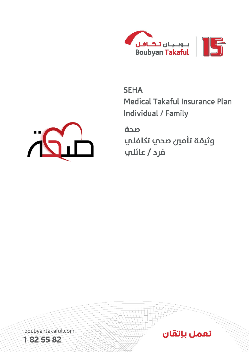

**SEHA** 

Medical Takaful Insurance Plan Individual / Family

نعمل بإتقان

صحة وثيقة تأمين صحب تكافلب فرد / عائلي



boubyantakaful.com

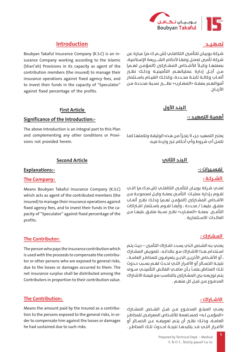

## **تمـهـيـــد**

شـركة بوبيـان للتأمـين التكافلـي (ش.م.ك.م) عبـارة عن شركة تأمـين تعمـل وفقـا لأحكام الشـــريعة الإسلامية، بصفتهـا وكيـلاً للأشـخاص المشــتركين (المؤمــن لهــم) مــن أجــل إدارة عملياتهــم الت�أمينيــة وذلــك نظــر أتعــاب وكالــة ثابتــة محــددة، وكذلـك القيــام باسـتثمار أموالهـم بصفـة »المضـارب« نظــــــر نسـبة محـددة مـن األربــاح.

## **الـبنــد األول**

**أهميـة التمهيــد -:**

يعتـر التمهيـد جـزء ال يتجـزأ مـن هـذه الوثيقـة وت�كملهـا كمـا ت�كمـل أي شـروط وأي أحـكام غـر واردة فيـه.

## **الـبنــد الثاني**

## **تفـســيـرات -:**

## **الشـــركـة :**

تعنــي شــركة بوبيــان للتأمــين التكافلــي (ش.م.ك.م) التــي تقــوم بــإدارة عمليــات التأمــين بصفــة وكيــل لمجموعــة مــن الأشـخاص المشــتركين (المؤمــن لهــم) وذلـك نظــي أتعــاب متفــق عليهــا / محــددة ، وأيضــا تقــوم باســتثمار اشــتراكات التأمـــين بصفــة «المضــارب» نظـــــ نســبة متفــق عليهــا مــن العائــدات االســت�ثمارية .

# **المـشـرتك :**

يعنـي بـه الشـخص الـذي يسـدد اشـراك الت�أمـن – حيـث يتـم اسـتخدام هـذا االشـراك مـع عائداتـه ، لتعويـض المشـرك ، أو الأشـخاص الآخريــن الذيــن يتعرضـون للمخاطـر العامــة ، نتيجــة الخســائر أو الأضـرار التــي تحــدث لهــم بســبب حــدوث تلــك المخاطر،علمــاً بــأن صافــي الفائــض الت�أمينــي ســوف يتـم توزيعـه بـن المشـركني بالتناسـب مـع قيمـة االشـراك المدفـوع مـن قبـل كل منهـم .

# **االشـــرتاك :**

يعنــي المبلــغ المدفــوع مــن قبــل الشــخص المشــرك »المؤمــن لــه« كمســاهمة لألشــخاص المعرضــن للمخاطــر العامــة، وذلــك نظــر أن يتــم تعويضــه عــن الخســائر أو الأضــرار التــي قــد يتكبدهــا نتيجــة لحـدوث تلــك المخاطــر .

# **Introduction**

surance Company working according to the Islamic Boubyan Takaful Insurance Company (K.S.C) is an in-(Shari'ah) Provisions in its capacity as agent of the contribution members (the insured) to manage their insurance operations against fixed agency fees, and to invest their funds in the capacity of "Speculator" against fixed percentage of the profits.

## **First Article**

# **Significance of the Introduction:-**

The above Introduction is an integral part to this Plan and complementing any other conditions or Provi-<br>sions not provided herein.

## **Second Article**

## **:-Explanations**

## **The Company:**

Means Boubyan Takaful Insurance Company (K.S.C) which acts as agent of the contributed members (the insured) to manage their insurance operations against pacity of "Speculator" against fixed percentage of the fixed agency fees, and to invest their funds in the ca-.profits

## **The Contributor:**

The person who pays the insurance contribution which tor or other persons who are exposed to general risks, is used with the proceeds to compensate the contribudue to the losses or damages occurred to them. The net insurance surplus shall be distributed among the Contributors in proportion to their contribution value.

# **The Contribution:**

der to compensate him against the losses or damages tion to the persons exposed to the general risks, in or-Means the amount paid by the Insured as a contribuhe had sustained due to such risks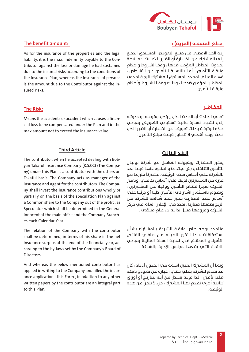

## **مـبلـغ المنفعــة )المزيـة( :**

إنــه الحــد األقصــى مــن مبلــغ التعويــض المســتحق الدفــع إلــي المشــترك عــن الخسـارة أو الضــرر الــذي يتكبــده نتيجــة لحـــدوث المخاطــر المؤمــن ضدهــا ، وفقــا لشــروط وأحــكام وثيقــة التأمــِن . أمــا بالنسـبة للتأمــين عــن الأشـخاص ، فهــو المبلــغ المحــدد المســتحق للمشــترك نتيجــة لحـدوث المخاطـر المؤمــن ضدهــا ، وذلــك وفقــا لشــروط وأحـكام وثيقــة الت�أمــن .

## **المخــاطـــر** :

تعنــي الحــادث أو الحــدث الــذي يــؤدي وقوعــه أو حدوثــه إلــي نشــوء خســارة ماليــة تســتوجب التعويـض بموجـب هـذه الوثيقـة وذلـك تعويضـا عـن الخسـارة أو الضـرر الـذي حـدث وبحــد أقصــي لا تتجــاوز قيمــة مبلــغ التأمــين .

## **الـبنــد الــثـالــث**

يعتــــر المشـــترك وبقبولـــه التعامـــل مــع شــركة بوبيــان للتأمــِن التكافلــي (ش.م.ك.م) والمنــوه عنهــا فيمــا بعــد بالشـركة علــي أسـاس هـذه الـوثيقــة، مشــتركاً متبرعــا مــع غـيه مـن المشـتركين لديهـا علـي أسـاس تكافلـي، وتعتـب الشــركة مديــراً لنظــام التأمــين ووكيــلاً عــن المشــتركين ، وتقــوم باسـتثمار اشــتراكات التأمــين كليــاً أو جزئيــاً علــي أسـاس عقـد المضاربــة نظــي حصــة شــائعة للشــركة مــن الربـح بصفتهـا مضاربـاً ، تحـدد فـي اإلعـان العـام فـي مركـز الشــركة وفروعهــا قبيــل بدايــة كل عــام ميــادي .

وتتحـدد بوجـه خـاص علاقـة الشـركة بالمشـترك بشـأن اسـتحقاقات هـذا الأخـير لنصيبــه مــن صافـس الفائـض التأمينــي المحقــق فــي نهايــة الســنة الماليــة بموجـب الالئحــة التــي يضعهــا مجلــس اإلدارة بالشــركة .

وبمـا أن المشـرك المبـن اسـمه فـي الجـدول أدنـاه ، كان قـد تقـدم للشـركة بطلـب خطـي ، عبـارة عـن نمـوذج تعبئـة طلــب تأمـــن ، لــذا فإنــه يشـكل مــع أيــة تصاريــح أو أوراق كتابيـة أخـري تقـدم بهــا المشـرك ، جـزء ال يتجـزأ مـن هـذه الوثيقــة.

#### **The benefit amount:**

As for the insurance of the properties and the legal tributor against the loss or damage he had sustained liability, it is the max. Indemnity payable to the Condue to the insured risks according to the conditions of the Insurance Plan, whereas the Insurance of persons is the amount due to the Contributor against the in-<br>sured risks.

#### **The Risk:**

cial loss to be compensated under the Plan and in the Means the accidents or accident which causes a finanmax amount not to exceed the insurance value

#### **Third Article**

ny) under this Plan is a contributor with the others on yan Takaful insurance Company (K.S.CC) (The Compa-The contributor, when he accepted dealing with Bob-Takaful basis. The Company acts as manager of the ny shall invest the insurance contributions wholly or insurance and agent for the contributors. The Compapartially on the basis of the speculation Plan against a Common share to the Company out of the profit, as Speculator which shall be determined in the General Innocent at the main office and the Company Branch-<br>es each Calendar Year.

The relation of the Company with the contributor shall be determined, in terms of his share in the net cording to the by-laws set by the Company's Board of insurance surplus at the end of the financial year, ac-.Directors

And whereas the below mentioned contributor has ance application, this Form, in addition to any other applied in writing to the Company and filled the insurwritten papers by the contributor are an integral part to this Plan.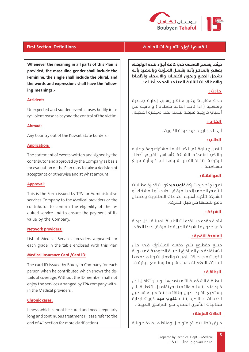

**Whenever the meaning in all parts of this Plan is** provided, the masculine gender shall include the Feminine, the single shall include the plural, and the words and expressions shall have the follow-<br>ing meanings:-

#### **:Accident**

ry violent reasons beyond the control of the Victim. Unexpected and sudden event causes bodily inju-

#### **:Abroad**

Any Country out of the Kuwait State borders.

#### **Application:**

The statement of events written and signed by the contributor and approved by the Company as basis for evaluation of the Plan risks to take a decision of acceptance or otherwise and at what amount

#### **:Approval**

This is the Form issued by TPA for Administrative services Company to the Medical providers or the quired service and to ensure the payment of its contributor to confirm the eligibility of the revalue by the Company.

#### **Network providers:**

List of Medical Services providers appeared for each grade in the table enclosed with this Plan

#### **Medical Insurance Card / Card ID:**

The card ID issued by Boubyan Company for each tails of coverage, Without the ID member shall not person when he contributed which shows the deenjoy the services arranged by TPA company with-<br>in the Medical providers .

#### **Chronic** cases:

Illness which cannot be cured and needs regularly long and continuous treatment (Please refer to the end of 4<sup>th</sup> section for more clarification)

## **القسـم األول: التعــريفــات العــامـــة Definitions :Section First**

**حيثمـا يسمــح المعــنى فـي كافـة أجـزاء هــذه الوثيقــة، يفهــم بالمذكـــر بأنــه يشمـــل المـــؤنث وبالمفــرد بأنــه يشــمل الجمــع ويكــون للكلمـــات واألســماء واأللفــاظ واالصطالحــات التاليــة المعنــى المحــدد أدنــــاه : ـ**

#### **حــادث :**

حــدث مفاجــئ وغــر منتظــر يســبب إصابــة جســدية ونفسـية ( اذا كانـت الحالــة مغطــاة ) و ناتجــة عــن أســباب خارجيــة عنيفــة ليســت تحــت ســيطرة الضحيــة .

## **الـخــارج :**

أي بلــد خــارج حــدود دولـة الكــويـت .

## **الـطلـــب :**

التصريــح بالوقائـع الــذب كتبــه المشــترك ووقــع عليــه والــذب اعتمدتــه الشــركة كأســاس لتقييــم أخطــار الوثيقــة التخــاذ القــرار بقبولهــا أم ال وبأيــة مبلــغ مســاهمة .

## **المـوافـقـــة :**

نمـوذج تصـدره شـركة **غلوب ميد** كويـت إلدارة مطالبات التأمـيَ الصحـي إلـي المرفـق الطبـي أو المشـترك أو الشــركة لتأكيــد أهليــه الخدمــات المطلوبــة ولضمــان دفـع ت�كلفتهـا مـن قبـل الشـركة.

## **الشـبـكـة :**

الئحــة مقدمــي الخدمــات الطبيــة المبينــة لــكل درجــة فـي جـدول » الشـبكة الطبيـة » المرفـق بهـذا العقـد .

## **المنفعة النقدية :**

مبلــغ مقطــوع يتــم دفعــه للمشــترك فــي حــال االسـتفادة مـن المرافـق الطبيـة الحكوميـة فـي دولـة الكويـت فـي حـاالت المبيـت والعمليـات ويتـم دفعهـا للحــالات المغطــاة حسـب شــروط ومنافـع الـوثيقــة.

## **البـطاقــة :**

البطاقــة الشــخصية التــي تصدرهــا بوبيــان ت�كافــل لــكل فــرد عنــد انتســابه والتــي تبــن تفاصيــل التغطيــة . لــن يســتطيع الفــرد بــدون بطاقتــه التمتــع بــ » تســهيل الخدمــات » الــذي رتبتــه **غلــوب ميــد** كويــت إلدارة مطالبــات التأمـــن الصحــي مــع المرافــق الطبيــة .

## **الحاالت المزمنة :**

مــرض يتطلــب عــاج متواصــل ومنتظــم لمــدة طويلــة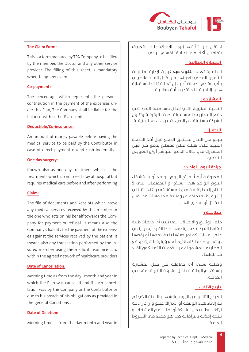

ال تقــل عــن 6 أشــهر.)برجاء االطــاع علــى التعريــف بتفاصيـل أكــُر فــي نهايــة القســم الرابــع)

## **اسـتمـارة المـطالبــة :**

اســتمارة تعدهــا **غلــوب ميــد** كويــت إلدارة مطالبــات التأمــن الصحـــي لتعبئتهــا مــن قبــل الفــرد والطبيــب وأي مقــدم خدمــات آخــر . إن تعبئــة تلــك االســتمارة هــي إلزاميــة عنــد تقديــم أيــة مطالبــة.

## **المـشـاركــة :**

النســبة المئويــة التــي تمثــل مســاهمة الفــرد فــي دفـع المصاريـف المشـمولة بهــذه الوثيقــة وتكــون الشـركة مسـئولة عـن الرصيـد ضمـن حـــدود الـوثيقـــة .

## **التـحمـــل :**

مبلــغ مــن المــال مســتحق الدفــع قبــل أخــذ الخدمــة الطبيــة علــــم هيئــة مبلـــغ مقتطــع يدفــع مــن قبــل المشـترك فــي حــالات الدفـع المباشــر أو/و التعويـض النقــدي.

# **جـراحة اليـوم الـواحـــد :**

المعروفــة أيضــاً بعــاج اليــوم الواحــد أو باستشــفاء اليــوم الواحــد هــي العــاج أو التحقيقــات التــي ال تحتـاج إلـى اإلقامـة فـي المستشـفى ولكنهـا ت�تطلـب إشـراف طبــي متخصـص وعنايــة فــي مستشـفـم قبــل أو خــال أو بعــد إجرائهــا .

# **مـطالـبــــة :**

ملـف الوثائـق واإليصـاالت الـذي يثبـت أي خدمـات طبية تلقاهـا الفـرد عندمـا يقدمهـا هـذا الفـرد أومـن ينـوب عنـه إلـى الشـركة لمراجعتهـا بغيـة دفعهـا أو رفضهـا . و تعنـي هـذه الكلمـة أيضـاً مسـؤولية الشـركة بدفـع المصاريـف المشـمولة عـن الخدمـات التـي يكـون الفـرد قـد تلقاهـا .

وكذلــك تعنــي أي معاملــة مــن قبــل المشــرك باســتخدام البطاقــة داخــل الشــبكة الطبيــة لمقدمــي الخدمــة.

# **تـاريـخ اإللـغـــاء :**

الصبـاح التالـي مـن اليـوم والشـهر والسـنة الـذي تـم بــه إلغـاء هـذه الوثيقـة أو اشـراك عضـو وان كان ذلـك اإللغــاء بطلــب مــن الشــركة أو بطلــب مــن المشــرك أو نتيجـة إخاللـه بالتزاماتـه كمـا هـو محـدد فـي الشـروط العامـة.

## **The Claim Form:**

This is a form prepared by TPA Company to be filled by the member, the Doctor and any other service provider. The filling of this sheet is mandatory when filing any claim.

## Co-payment:

The percentage which represents the person's der this Plan, The Company shall be liable for the contribution in the payment of the expenses unbalance within the Plan Limits.

## Deductible/Co-insurance:

An amount of money payable before having the medical service to be paid by the Contributor in case of direct payment or/and cash indemnity.

## **One day surgery:**

Known also as one day treatment which is the treatments which do not need stay at hospital but requires medical care before and after performing

## **:Claim**

The file of documents and Receipts which prove any medical services received by this member or pany for payment or refusal. It means also the the one who acts on his behalf towards the Comes against the services received by the patient. It Company's liability for the payment of the expenssured member using the medical Insurance card means also any transaction performed by the inwithin the agreed network of healthcare providers

## **Date of Cancellation:**

Morning time as from the day, month and year in lation was by the Company or the Contributor or which the Plan was canceled and if such canceldue to his breach of his obligations as provided in the general Conditions.

## **Date of Deletion:**

Morning time as from the day, month and year in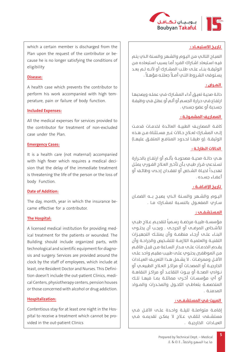

#### **تـاريــخ االسـتبـعـــاد :**

الصبـاح التالـي مـن اليـوم والشـهر والسـنة الـذي يتـم فيـه اسـتبعاد اشـراك الفـرد أمـا بسـبب اسـتبعاده مـن الوثيقــة بنــاء علــى طلــب المشــرك أو ألنــه لــم يعــد يسـتوفى الشـروط التـي أصـاً جعلتـه مؤهـاً .

## **الـمـــرض :**

حالـة صحيـة تعيـق أداء المشـرك فـي عملـه ويصحبهـا ارتفـاع فـي حـرارة الجسـم أو ألـم أو عطـل فـي وظيفـة جسـدية أو عضو جسـدي .

## **المصـاريـف المشمـولـــة :**

كافــة المصاريــف الطبيــة العائــدة لخدمــات قدمــت إلــى المشــرك لعــاج حــاالت غــر مســت�ثناة مــن هــذه الوثيقــة .)و طبقــا لحــدود المنافــع المتفــق عليهــا(

## **الحـاالت الـطارئـــة :**

هــي حالــة صحيــة مصحوبــة بألــم أو ارتفــاع بالحــرارة تسـتدعب قـرار طبـي بـأن تأخـر العـلاج الفـوري يمثـل تهديــداً لحيــاة الشــخص أو لفقــدان إحــدى وظائــف أو أعضــاء جســده .

## **تـاريـخ اإلضــافــــة :**

اليــوم والشــهر والســنة الــذي يصبــح بــــه الضمــان ســاري المفعــول بالنســبة لمشــرك مــا .

## **المـسـتـشـفـــى :**

مؤسســة طبيــة مرخصــة رســمياً لتقديــم عــلاج طبـــي للأشـخاص المرضــم أو الجرحــم . ويجــب أن يحتــوم البنــاء علــى أرجــاء منظمــة وأن يمتلــك التجهيــزات التقنيــة والعلميــة الالزمــة للتشــخيص والجراحــة وأن يقــدم الخدمــات علــى مــدار الســاعة مــن قبــل طاقــم مـن الموظفـن يحتـوي علـى طبيـب مقيـم واحـد علـى األقــل وممرضــات . ال يشــمل هــذا التعريــف العيــادات الخارجيــة أو المصحــات أو مراكــز العــاج الطبيعــي أو نــوادي الصحــة أو بيــوت التقاعــد أو مراكــز النقاهــة أو أي مؤسســات أخــرى مماثلــة بمــا فيهــا تلــك المتخصصــة بتعاطــي الكحــول والمخـدرات والمــواد المدمنــة .

## **المبيت فـي المسـتشـفـــى :**

إقامــة متواصلــة لليلــة واحــدة علــى األقــل فــي مستشــفى لتلقــي عــاج ال يمكــن تقديمــه فــي العيــادات الخارجيــة .

which a certain member is discharged from the cause he is no longer satisfying the conditions of Plan upon the request of the contributor or beeligibility

## **:Disease**

A health case which prevents the contributor to perature, pain or failure of body function. perform his work accompanied with high tem-

## **Included Expenses:**

All the medical expenses for services provided to the contributor for treatment of non-excluded case under the Plan

## **Emergency Cases:**

It is a health care (not maternal) accompanied sion that the delay of the immediate treatment with high fever which requires a medical deciis threatening the life of the person or the loss of body Function.

## **Date of Addition:**

The day, month, year in which the insurance be-<br>came effective for a contributor.

# **The Hospital:**

ical treatment for the patients or wounded. The A licensed medical institution for providing med-Building should include organized parts, with sis and surgery. Services are provided around the technological and scientific equipment for diagnoclock by the staff of employees, which include at cal Centers, physiotherapy centers, pension houses tion doesn't include the out-patient Clinics, medileast, one Resident Doctor and Nurses. This Definior those concerned with alcohol or drug addiction.

## **:Hospitalization**

pital to receive a treatment which cannot be pro-<br>vided in the out-patient Clinics Contentious stay for at least one night in the Hos-<br>pital to receive a treatment which cannot be pro-Contentious stay for at least one night in the Hos-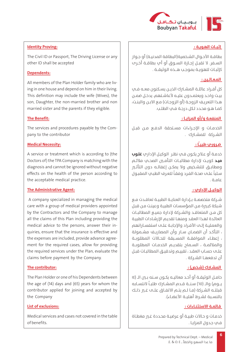

## **إثـبـــات الهـويــة :**

بطاقــة األحــوال الشــخصية)البطاقة المدنيــة( أو جــواز الســفر. لا تقبــل إجــازة الســوق أو أب بطاقــة أخـرى كإثبــات للهويــة بموجــب هــــذه الوثيقـــة .

## **المـعــالــيـن :**

كل أفــراد عائلــة المشــرك الذيــن يســكنون معــه فــي بيــت واحـد ويعتمـدون عليــه لأعاشـتهم. يدخـل ضمــن هـذا التعريـف الزوجـة (أو الزوجـات) مـع الابـن والبنـت، كمــا هــو محــدد لــكل درجــة فــي الطلــب.

# **المنفعـة و/أو المـزايـــا :**

الخدمــات و اإلجــراءات مســتحقة الدفــع مــن قبــل الشــركة للمشــرك .

# **ضــروري طبـيـــًا :**

خدمـة أو عـاج يكـون فـي نظـر الوكيـل اإلداري **غلـوب ميــد** كويــت إلدارة مطالبــات الت�أمــن الصحــي مالئــم ومطابــق للتشـخيص ولا يمكــن إغفالــه دون التأثـــر سـلباً علـى صحـة الفـرد وفقـاً للعـرف الطبـي المقبـول عامــة .

# **الـوكـيـــل اإلداري :**

شـركة متخصصــة بـإدارة العنايــة الطبيــة تعاقـدت مـع شـبكة كبـرة مـن المؤسسـات الطبيـة وعينـت مـن قبـل كل مــن المتعاقــد والشــركة إلدارة جميــع المطالبــات العائـدة لهـذا العقـد ومنهـا تقديـم اإلرشـادات الطبيـة والعمليـة إلـى األفـراد واإلجابـة علـى استفسـاراتهم ، التأكــد أن الضمــان ســار وأن المصاريــف مشــمولـة ، إعطــاء الموافقــة المســبقة للحــاالت المطلوبــة والمالئمــة ، الســماح بتقديــم الخدمــات المطلوبــة علــم حسـاب العقـد ، تقييــم وتدقيـق المطالبـات قبـل أن تدفعهــا الشــركة .

# المشــّرك (شـخـص) :

حامــل الوثيقــة أو أحــد معاليــه يكــون ســنه بــن الــ )14 يـــوم) والــ (10) سـنـــة قــدم المشــترك طلبــاً لانتســابـه قبلتــه الشــركة (مــا لــم يتــم الاتفــاق علـــص غــي ذلــك بالنســبة لشــرط أهليــة الأعضـاء).

# **قـائمــة االستـثـنــاءات :**

خدمـات و حـاالت طبيـة أو عرضيـة محـددة غـر مغطـاة فـي جـدول المزايـا .

## **Identity Proving:**

The Civil ID or Passport, The Driving License or any other ID shall be accepted

## **:Dependents**

ing in one house and depend on him in their living. All members of the Plan Holder family who are liv-This definition may include the wife (Wives), the son, Daughter, the non-married brother and non married sister and the parents if they eligible.

## **The Benefit:**

The services and procedures payable by the Com-<br>pany to the contributor

## **Medical Necessity:**

A service or treatment which is according to (the Doctors of) the TPA Company is matching with the diagnosis and cannot be ignored without negative effects on the health of the person according to the acceptable medical practice.

## **The Administrative Agent:**

A company specialized in managing the medical care with a group of medical providers appointed by the Contractors and the Company to manage all the claims of this Plan including providing the quiries, ensure that the insurance is effective and medical advice to the persons, answer their inment for the required cases, allow for providing the expenses are included, provide advance agreethe required services under the Plan, evaluate the claims before payment by the Company.

## **The contributor:**

The Plan Holder or one of his Dependents between the age of (14) days and (65) years for whom the contributor applied for joining and accepted by the Company

## **List of exclusions:**

Medical services and cases not covered in the table of benefits.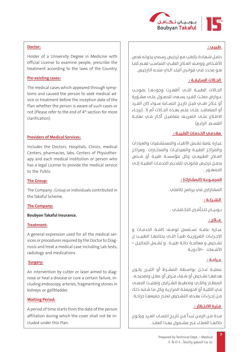

#### **طـبـيــب :**

حامـل شـهادة بالطـب مـع ترخيـص رسـمي يخولـه فحص األشــخاص ووصــف العــاج الطبــي المناســب لهــم كمــا هـو محـدد فـي قوانـي البلـد الـذي منحـه الـترخيص.

## **الحــاالت السـابـقـــة :**

الحـالات الطبيــة التــي أظهــرت وجودهــا بموجـب عــوارض جعلــت الفــرد يسـعـم للحصــول علــم مشــورة أو عــلاج طبـــي قبــل تاريــخ انتســابـه ســواء كان الفــرد أو المتعاقــد علــى علــم بهــذه الحــاالت أم ال. .)برجــاء الاطـلاع علــــم التعريــف بتفاصيــل أكــــُر فــي نهايـــة القســم الرابــع)

## **مقـدمـي الخــدمـات الطـبـيـــة :**

عبـارة عامة تشـمل األطبـاء والمستشـفيات والعيادات والمراكــز الطبيــة والصيدليــات والمختــرات ومراكــز العــاج الطبيعــي وكل مؤسســة طبيــة أو شــخص يحمـل ترخيـص قانونـي لتقديـم الخدمـات الطبيـة إلـى الجمهــور .

## **المجمــوعـة )الـمشـرتك( :**

المشتركين في برنامج تكافلي .

## **الـشـــركــة :**

بــوبـيـــان للــتـأمــني التـكــافـلــي .

# **عــــــالج :**

عبــارة عامــة تســتعمل لوصــف كافــة الخدمــات و اإلجــراءات الضروريــة طبيــاً التــي يحتاجهــا الطبيــب ل تشــخيص و معالجــة حالــة طبيــة . و تشــمل التحاليــل – األشــعات –األدويــة

## **جـــراحــة :**

عمليــة تدخــل بواســطة المشــرط أو الليــزر يكــون هدفهــا تشــخيص أو شــفاء مــرض أو عطــل وتصحيحــه . المنظــار والكــي وتخطيــط الشــرايين وتفتيــت الحصـــي فـي الكليـة أو الحويصلـة المراريـة وكل مـا شـابه ذلـك مـن إجـراءات بهـدف التشـخيص تعتـر جميعهـا جراحـة .

## **فــتـرة االنـتـــظار :**

مـدة مـن الزمـن تبـدأ مـن تاريـ�خ انتسـاب الفـرد ويكـون خلالهــا الغطــاء غــي مشــمول بهــذا العقــد .

#### **:Doctor**

Holder of a University Degree in Medicine with official License to examine people, prescribe the treatment according to the laws of the Country.

## **Pre-existing cases:**

vice or treatment before the inception date of the toms and caused the person to seek medical ad-The medical cases which appeared through symp-Plan whether the person is aware of such cases or not (Please refer to the end of  $4<sup>th</sup>$  section for more (clarification

## **Providers of Medical Services:**

Includes the Doctors, Hospitals, Clinics, medical apy and each medical Institution or person who Centers, pharmacies, labs, Centers of Physiotherhas a legal License to provide the medical service to the Public

## **The Group:**

The Company, Group or individuals contributed in the Takaful Scheme

## **The Company:**

## **Boubyan Takaful Insurance.**

## **:Treatment**

nosis and treat a medical case including Lab tests, vices or procedures required by the Doctor to Diag-A general expression used for all the medical serradiology and medications

## **:Surgery**

cluding endoscopy, arteries, fragmenting stones in nose or heal a disease or cure a certain failure, in-An intervention by cutter or laser aimed to diagkidneys or gallbladder.

# **Waiting Period:**

A period of time starts from the date of the person affiliation during which the cover shall not be in-<br>cluded under this Plan.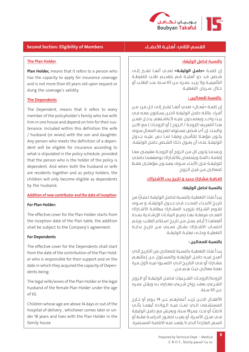

#### **بالنسبـة لحامل الوثيقة:**

إن كلمــة **»حامــل الوثيقــة«** تعنــي أنهــا تشــر إلــى شــخص قــد ذو أهليــة قــم بتقديــم طلــب للتغيطــة الت�أمينيــة وال يزيــد عمــره عــن 65 ســنة عنــد الطلــب أو خــال ســريان التغطيــة.

## **بالنسبـة للمعـالـيـن :**

إن كلمـة «مُعــال» تعنــمي أنهــا تشــي إلـــم كــل فـرد مــن أفـراد عائلـة حامـل الوثيقـة الذيـن يسـكنون معـه فـي بيــت واحــد ويعتمــدون عليــه ألعاشــتهم. يدخــل ضمــن هـذا التعريـف الزوجـة / الــزوج ( أو الزوجات ) مـع الابـن والبنـت. إن أي شـخص مسـتوف لتعريـف المعـال سـوف يكــون مؤهــلا للتأمــين وفقــا لمــا نــص عليــه جــدول الوثيقـة علـى أن يعـول ذلـك الشـخص حامـل الوثيقـة.

وعندمـا يكـون كل مـن الـزوج أو الزوجـة مقيمـن معـا إقامـة دائمـة ويتمتعـان باالشـراك بوصفهمـا حاملـي للوثيقــة فــإن األبنــاء ســوف يصبحــون مؤهلــن فقــط كمعالـن مـن قبـل الـزوج.

## **إضــافــة مـشـرتك جـديـد و تـاريـخ بـدء االشـتـراك:**

## **بالنسبـة لحامل الوثيقة:**

يبـدأ نفـاذ التغطيـة بالنسـبة لحامـل الوثيقـة اعتبـارًا من تاريــ�خ االبتــداء المحــدد فــي جــدول الوثيقــة، و ســوف تقــوم الشــركة بتزويــد المشــترك ببطاقــة الاشــتراك الصحــي مرفقــة بهــا جميــع البيانــات اإلرشــادية بمــدة أقصاهـا 5 أيـام عمـل مـن تاريـ�خ اسـتالم الطلـب، ويتـم احتســاب الاشــتراك بشـكل نســبي مــن تاريــخ بدايــة التغطيــة وحتـــم نهايــة الـوثيقــة.

## **بالنسبـة للمـعـالـيـن :**

يبـدأ نفـاذ التغطيـة بالنسـبة للمعالـن من التاريـ�خ الذي أصبــح فيــه حامــل الوثيقــة والمســئول عــن إعالتهــم مشـّرك أو فـي التاريـخ الـذي اكتسـبوا فيـه لأول مـرة صفـة معالـن حيـث هــم مــن :

الزوجة/الزوجــات الشــرعيات لحامــل الوثيقــة أو الــزوج الشـرعي بعقـد زواج شـرعي معـرف بـه ويقـل عمـره عـن 65 سـنة.

األطفــال الذيــن تزيــد أعمارهــم عــن 14 يــوم أو خــارج المستشـف الــذي تمــت فيـــه الــولادة أبهمــا يأتــي الحقـًـا، أو تحـت عمـر18 سـنة، ويعيـش مـع حامـل الوثيقـة فــي منــزل الأســرة، أو يغيــب لحضــور الدراســة فقــط أو السـفر الطـارئ الـذي ال يقصـد منـه االقامـة المسـتمرة.

## **القـسـم الثاني: أهـلـيـــة األعـضــــاء Members of Eligibility :Section Second**

#### **The Plan Holder**

Plan Holder, means that it refers to a person who has the capacity to apply for insurance coverage and is not more than 65 years old upon request or durig the coverage's validity.

## **The Dependents**

The Dependent, means that it refers to every member of the policyholder's family who live with tenance. Included within this definition the wife him in one house and depend on him for their sus-/ husband (or wives) with the son and daughter. dent will be eligible for insurance according to Any person who meets the definition of a depenwhat is stipulated in the policy schedule, provided that the person who is the holder of the policy is dependent. And when both the husband or wife are residents together and as policy holders, the children will only become eligible as dependents by the husband.

## Addition of new contributor and the date of inception:

## **For Plan Holder:**

The effective cover for the Plan Holder starts from the inception date of the Plan table, the addition shall be subject to the Company's agreement.

## **For Dependents**

The effective cover for the Dependents shall start er who is responsible for their support and on the from the date of the contribution of the Plan Holddate in which they acquired the capacity of Depen-<br>dents being:

The legal wife/wives of the Plan Holder or the legal husband of the female Plan Holder under the age 65. of

Children whose age are above 14 days or out of the der 18 years and lives with the Plan Holder in the hospital of delivery, whichever comes later or unfamily house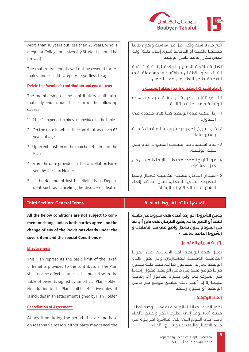

أكـر مـن 18سـنة ولكـن اقـل مـن 24 سـنة ويكـون طالبـا منتظمــا بالكليــة أو الجامعــة (بلــزم إثبــات ذلـك) ولــه نفـس مـكان إقامــة حامـل الـوثيقــة.

تغطيــة منفعــة الحمــل والــوالدة لإلنــاث تحــت فئــة األبنــاء و/أو األطفــال )Child )غــر مشــمولة فــي التغطيــة بغــض النظــر عــن عمــر الطفــل.

 **إلغـاء اشـتـراك العضـو و تاريـخ انتهـاء التغطـيــة :**

تنتهــي تلقائيــا عضويــة أي مشــرك بموجــب هــذه الوثيقــة فــي الحــاالت التاليـــة :

- 1 إذا انتهــت مــدة الوثيقــة كمــا هــي محــددة فــي الجــدول.
- 2 فـي التاريـ�خ الـذي يصبـح فيـه عمر المشـرك خمسـة وسـتـن عاما.
- 3 لــدى اســتنفاد حــد المنفعــة القصــوى الــذي تنــص عليــه الوثيقــة.
- 4 مـن التاريـ�خ المحـدد فـي طلـب اإللغـاء المرسـل مـن قبـل المشـترك.
- 5 فقــدان المعــال لصفتــه الت�كافليــة كمعــال وفقــا للتعريــف الخــاص بالمعــال، مثــال: حــاالت إلغــاء االشــراك أو الطــاق أو الوفــاة.

More than 18 years but less than 23 years, who is a regular College or University Student (should be proved).

males under child category regardless to age. The maternity benefits will not be covered for fe-

#### **Delete the Member's contribution and end of cover:**

matically ends under this Plan in the following The membership of any contributors shall auto-:cases

- 1 If the Plan period expires as provided in the table.
- 2 On the date in which the contributors reach 65 years of age.
- 3 Upon exhaustion of the max benefit limit of the .Plan
- 4 From the date provided in the cancellation Form sent by the Plan Holder
- dent such as canceling the divorce or death. 5 - If the dependent lost his eligibility as Depen-

ment or change unless both parties agree on the All the below conditions are not subject to comchange of any of the Provisions clearly under the covers item and the special Conditions :-

## **:Effectiveness**

ul Benefits provided to the contributors. The Plan This Plan represents the basic limit of the Takafshall not be effective unless it is proved so in the table of benefits signed by an official Plan Holder. No addition to the Plan shall be effective unless it is included in an attachment signed by Plan Holder.

## **Cancellation of Agreement:**

At any time during the period of cover and base on reasonable reason, either party may cancel the

## **القسم الثالث: الـشـروط الـعــامــــة Terms General :Section Third**

**جميــع الشــروط الــواردة أدنــاه هــي شــروط غــر قابلــة للنقـد أو التغـر مـا لـم يتفـق الطرفـان علـى تغـر أي بند مـن البنـود و يـدون بشـكل واضـح فـي بنـد التغطيـات و الشـروط الخاصـة سابقـ ًـا -:**

## **إثـبــات ســريـان المفعــول :**

تمثــل هــذه الـوثيقــة الحــد الأساســي مــن المزايــا الت�كافليــة المقدمــة للمشــركني. ولــن ت�كــون هــذه الوثيقــة ســارية المفعــول مــا لــم يثبــت ذلــك بجــدول مزايــا موقــع عليــه مــن حامــل الوثيقــة مخــول رســميا مــن الشــركة كمــا ولــن يســري مفعــول أي إضافــة عليهــا إلا إذا أثبـت ذلـك بملحــق موقــع مــن حامــل الوثيقــة أو مخــول رســميًا.

## **إلـغــاء الـوثيقـــة :**

يجـوز ألي طـرف إلغـاء الوثيقـة بموجـب توجيـه إخطـار مدتــه )60( يومــاً إلــى الطــرف اآلخــر ويصبــح اإللغــاء نافــذاً فــي اليــوم الــذي يلــي مباشــرة آخــر يــوم مــن مـدة الإخطــار والــذي يصبــح تاريــخ الإلغــاء.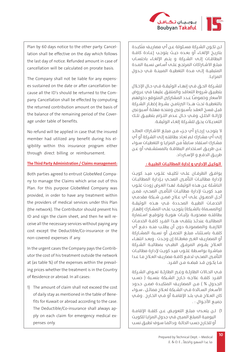

لــن ت�كــون الشــركة مســئولة عــن أي مصاريــف متَ�كبــدة بتاريــ�خ اإللغــاء أو بعــده حيــث يتوجــب إعــادة كافــة البطاقــات إلــى الشــركة و يتــم اإللغــاء باحتســاب مبلــغ الاشــتراكات المرتجـع علـــم أســاس نسـبة المـدة المتبقيــة إلــى مــدة التغطيــة المبينــة فــي جــدول المزايــا.

للشــركة الحــق فــي إنهــاء الـوثيقــة فــي حــال الإخـلال بتطبيـق شـروط التعاقـد والمتفـق عليهـا فـي عـروض الأسعار وخصوصًا عـدد المشتركين المتوقع دخولهم بالتغطيــة تحــت هــــذا الربنامــج، بشــرط إخطــار الشــركة قبـل فسـخ العقـد بأسـبوعني ومنحـه مهلـة أسـبوعني إلزالــة الخلــل، وفــي حــال عــدم التــزام بتطبيــق تلــك .<br>التعديــلات يحـــق للشــركة الغــاء الـوثيقــة.

ال يتوجــب إرجــاع أي جــزء مــن مبلــغ االشــراك العائــد إلـى أي مشـرك لـم تعـاد بطاقتـه إلـى الشـركة أو أي مشـرك اسـتفاد سـابقاً مـن المزايـا و التغطيـات سـواء عــن طريــ�ق اســتخدام البطاقــة بالمستشــفى أو عــن طريـــق الدفــع و الإســـت داد.

#### **الـوكـيــل اإلداري و إدارة المطالـبــات الطـبـيــة :**

يوافــق الطرفــان علــى ت�كليــف غلــوب ميــد كويــت لإدارة مطالبــات التأمـــن الصحــب بــإدارة المطالبــات الناشـئة عـن هـذه الوثيقـة. لهـذا الغـرض زودت غلـوب ميــد كويــت إلدارة مطالبــات الت�أمــن الصحــي، فمــن أجــل الحصــول علــى أي عــاج ضمــن شــبكة مقدمــي الخدمــات الطبيــة المحــددة فــي هــذه الوثيقــة (والمسـماة بالشـبكة) بتوجب علـم المشـترك إظهـار بطاقتــه مصحوبــة بإثبــات هويــة وتوقيــع اســتمارة المطالبــة عندئــذ يتلقــى هــذا الفــرد كافــة الخدمــات الالزمــة والمضمونــة دون أن يطلــب منــه دفــع أي كلفــة باســتثناء مبلــغ التحمــل أو نســبة المشــاركة أو المصاريــف الغــر مغطــاة إن وجــدت . وبعــد انتهــاء العــاج يقــوم المرفــق الطبــي بمطالبــة الشــركة مباشــرة بواســطة غلــوب ميــد كويــت إلدارة مطالبــات التأمــن الصحــي لدفـع كافــة مصاريـف العـلاج مــا عــدا مــا يكــون قــد قبضــه مــن الفــرد.

فــي الحــاالت الطارئــة وغــر الطارئــة تعــوض الشــركة الفــرد كلفــة عالجــه خــارج الشــبكة بنســبة ) حســب الجـدول % ) مــن المصاريـف المتكبــدة ضمــن حــدود األســعار الســائدة فــي الشــبكة لعــاج مماثــل ، ســواء كان العــاج فــي بلــد اإلقامــة أو فــي الخــارج . وفــي جميــع الأحــوال : ـ

1( لــن يتعــدى مبلــغ التعويــض عــن كلفــة اإلقامــة اليوميـة المبلـغ المبـن فـي جـدول المزايـا للكويـت أو للخـارج حسـب الحالـة ودائمـا سـوف تطبـق نسـب

lation shall be effective on the day which follows Plan by 60 days notice to the other party. Cancelthe last day of notice. Refunded amount in case of cancellation will be calculated on prorate basis.

pany. Cancellation shall be effected by computing cause all the ID's should be returned to the Comes sustained on the date or after cancellation be-The Company shall not be liable for any expensthe returned contribution amount on the basis of the balance of the remaining period of the Cover-<br>age under table of benefits.

No refund will be applied in case that the insured igibility within this insurance program either member had utilized any benefit during his elthrough direct billing or reimbursement.

#### **The Third Party Administration / Claims management:**

ny to manage the Claims which arise out of this Both parties agreed to entrust GlobeMed Compa-Plan. For this purpose GlobeMed Company was provided, in order to have any treatment within the providers of medical services under this Plan (the network). The Contributor should present his ceive all the necessary services without paying any ID and sign the claim sheet, and then he will recost except the Deductible/Co-insurance or the non-covered expenses if any.

utor the cost of his treatment outside the network In the urgent cases the Company pays the Contribing prices whether the treatment is in the Country at (as table %) of the expenses within the prevailof Residence or abroad. In all cases:

1) The amount of claim shall not exceed the cost fits for Kuwait or abroad according to the case. of daily stay as mentioned in the table of Beneply on each claim for emergency medical ex-<br>penses only. The Deductible/Co-insurance shall always ap-<br>ply on each claim for emergency medical ex-The Deductible/Co-insurance shall always ap-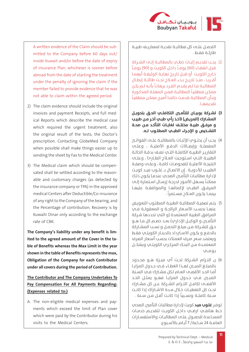

التحمــل علــى كل مطالبــة نقديــة لمصاريــف طبيــة طارئــة فقــط .

- 2( يجــب تقديــم إثبــات خطــي بالمطالبــة إلــى الشــركة قبـل انقضـاء )60( يومــاً داخـل الكويـت و )90( يومــاً خارج الكويت أو قبـل تاريخ نهايـة الوثيقـة أيهمـا أقــرب ، منــذ تاريــخ بــدء العــلاج تحـت طائلــة إبطــال المطالبـة مـا لـم يقـدم الفـرد برهانـاً بأنـه لـم يكـن ممكـن منطقيـاً المطالبـة ضمـن المهلـة المذكـورة وبـأن المطالبـة قدمـت حالمـا أصبـح ممكـن منطقيـاً تقديمهــا.
- **3( لشــركة بوبيــان للت�أمــن الت�كافلــي الحــق بتحويــ�ل المشـرك )المريـض( ألخـذ رأي طبـي آخـر مـن طبيـب و مرفــق طبيــة مختلــف لغايــات الت�أكــد مــن صحــة التشــخيص و اإلجــراء الطبــي المطلــوب لــه.**
- 4) يجــب أن يحتــوي الإثبــات بالمطالبــة علــي الفواتــم المفصلــة وإيصــالات الدفــع الأصليــة ، وعلـــص التقاريـ�ر الطبيـة الكاملـة التـي تصـف بدقـة الحالـة الطبيــة التــي اســتوجبت العــاج الطــارئ ، وعلــى النتيجـة األصليـة للفحوصـات كافـة ، وعلـى وصفـة الطبيــب لألدويــة . إن االتصــال بــ غلــوب ميــد كويــت لإدارة مطالبـات التأمـين الصحـي عندمـا يكـون ذلـك ممكنـاً يسـهل الأمـور لدرجـة إرسـال اسـتمارة إلــم المرفــق الطبــي إلكمالهــا والموافقــة عليهــا بينمـا يكــون العــلاج مســتمراً .
- 5) يتم تصفيـة المطالبـة الطبيـة المطلـوب التعويض عنهــا بحسـب الأسـعار الرائجــة و المعقولــة فــي المرافق الطبية المعتمدة )و التي تحددها شـركة التأمــين و الوكيــل الإداري) بعــد خصــم كل مــا هــو حـق للشـركة مـن مبلـغ التحمـل و نسـب المشـاركة بالدفـع و يكـون االسـرداد بالدينـار الكويتـي فقـط ويعتمـد سـعر صـرف العمـات بحسـب أسـعار الصرف المعتمــدة مــن البنــك المركــزي الكويتــي وبشكـــل يـومــي
- 6( ن التــزام الشــركة تحــت أي ميــزة هــو محــدود بالمبلــغ المبــن لهــذا الغطــاء فــي جــدول المزايــا أمـا الحـد الأقصـم العـام لـكل مشـترك فـي السـنة المبــن فــي جــدول المزايــا فهــو يمثــل الحــد األقصــى لكامــل التــزام الشــركة عــن كل مشــرك تحــت كل التغطيــات خــال مــدة االشــراك إذا كانــت ســنة كاملــة ونســبياً إذا كانــت أقــل مــن ســنة .

توفـر **غلـوب ميـد** كويت إلدارة مطالبات الت�أمني الصحي خـط هاتفـــي ارضــي داخـل الكويــت لتقديــم خدمــات المسـاعدة للحصـول علــم المطالبــات والاستفسـارات العامــة 24 ســاعة/ 7 أيــام باألســبوع.

mitted to the Company before 60 days out/ A written evidence of the Claim should be subinside Kuwait and/or before the date of expiry of insurance Plan, whichever is sooner before abroad from the date of starting the treatment under the penalty of ignoring the claim if the member failed to provide evidence that he was not able to claim within the agreed period.

- 2) The claim evidence should include the original ical Reports which describe the medical case invoices and payment Receipts, and full medwhich required the urgent treatment, also the original result of the tests, the Doctor's prescription. Contacting GlobeMed Company when possible shall make things easier up to sending the sheet by Fax to the Medical Center.
- able and customary charges (as detected by sated shall be settled according to the reason-3) The Medical claim which should be compenthe insurance company or TPA) in the approved medical Centers after Deductible/Co-insurance of any right to the Company of the bearing, and the Percentage of contribution. Recovery is by Kuwaiti Dinar only according to the exchange rate of CBK.

ble of Benefits whereas the Max Limit in the year ited to the agreed amount of the Cover in the ta-The Company's liability under any benefit is limshown in the table of Benefits represents the max, **Obligation of the Company for each Contributor** under all covers during the period of Contribution.

# **The Contributor and The Company Undertakes To** Pay Compensation For All Payments Regarding: (Expenses related to:)

ments which exceed the limit of Plan cover A. The non-eligible medical expenses and paywhich were paid by the Contributor during his visits to the Medical Centers.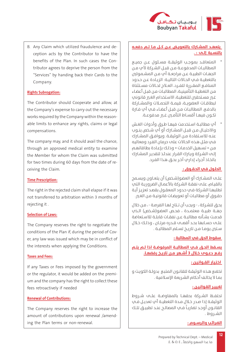

## **يتعهــد المشــرك بالتعويــض عـــن كـــل مــا تــم دفعــه بالنســبة إلــى : ـ**

- المتعاقـد بموجـب الوثيقــة مسـئول عــن جميـع المطالبــات المدفوعــة مــن قبــل الشــركة ألي مــن الجهــات الطبيــة عــن مراجعــة أي مــن المشــمولني بالتغطيـة فـي الحـاالت التاليـة: الزيـادة عـن حـدود المنافـع المقـررة للفـرد، العـلاد لحـالات مسـتثناة مـن التغطيـة الت�أمينيـة، المطالبـات مـن قبـل أعضـاء غـم مسـتحقـن للتغطيـة، الاسـتخدام الغـم قانوني لبطاقــات العضويــة، قيمــة التحمــات والمشــاركة بالدفـع، المطالبـات مـن قبـل أعضـاء فـي أي فـرة ت�كــون فيهــا أقســاط الت�أمــن غــر مدفوعــة.
- أي مطالبـة اسـتخدمت فيهـا طـرق وأدوات الغـش واالحتيــال مــن قبــل المشــرك أو أي شــخص ينــوب عنــه للاسـتفادة مــن الـوثيقــة. ويوافــق المشــترك فـي مثـل هـذه الحـاالت على حرمان الفـرد ومعاليه مـن » تسـهيل الخدمـات » وذلـك بإعـادة بطاقاتهـم إلـى الشـركة ويـرك القـرار عندئـذ لتقديـر المشـرك باتخـاذ أجـراء إداري آخـر بحـق هـذا الفـرد.

## **الحلـول فـي الحـقــوق :**

علـم المشـّرَك أو العضو(شـخص) أن يتعـاون ويسـمح بالقيـام، علـى نفقـة الشـركة باألعمـال الضروريـة التي تطلبهـا الشـركة فـي حـدود المعقـول بقصـد تعزيـ�ز أيـة حقـوق أو مطالبـات أو تعويضـات قانونيـة مـن الغـر.

يحـق للشـركة ، - ويجب أن تـتاح لهـا الفرصـة - ، مـن خلال حهــة طبيــة معتمــدة ، فحـص العضو(شـخص) الــذي قدمـت بشـأنه مطالبـة عـن نفقـات قابلـة لالسـتعاضة علــى حســابها بحــد أقصــى قــدره مرتــان ، وذلــك خــال سـتين يومــا مــن تاريـخ تسـلم المطالبــة .

## **سقوط الحق في المطالبة :**

**يســقط الحــق فــي المطالبــة المرفوضــة اذا لــم يتــم رفــع دعــوى خــال 3 أشــهر مــن تاريــ�خ رفضهــا.**

## **اخـتـيـار القــوانـيـن :**

تخضـع هـذه الوثيقـة للقانـون المتبـع بدولـة الكويـت و بمـا ال يخالـف أحـكام الشـريعة اإلسـامية .

## **تغـيـيــر القـوانـيــن :**

تحتفــظ الشــركة بحقهــا بالمفاوضــة علــى شــروط الوثيقــة إذا صــدر خــال مــدة التغطيــة أي تعديــل فــي القانــون أوجــد تضاربــاً فــي المصالــح عنــد تطبيــق تلــك الشــروط .

## **الضـرائـب والـرســوم :**

ception acts by the Contributor to have the B. Any Claim which utilized fraudulence and detributor agrees to deprive the person from the benefits of the Plan. In such cases the Con-"Services" by handing back their Cards to the .Company

## **Rights Subrogation:**

The Contributor should Cooperate and allow, at the Company's expense to carry out the necessary able limits to enhance any rights, claims or legal works required by the Company within the reason-.compensations

The company may, and it should avail the chance, through an approved medical entity to examine the Member for whom the Claim was submitted for two times during 60 days from the date of re-<br>ceiving the Claim.

## **Time Prescription:**

The right in the rejected claim shall elapse if it was not transferred to arbitration within 3 months of rejecting it.

## **Selection of Laws:**

The Company reserves the right to negotiate the er, any law was issued which may be in conflict of conditions of the Plan if, during the period of Covthe interests when applying the Conditions.

## **Taxes and Fees:**

If any Taxes or Fees imposed by the government um and the company has the right to collect these or the regulator, it would be added on the premifees retroactively if needed

## **Renewal of Contributions:**

The Company reserves the right to increase the amount of contributions upon renewal /amend-<br>ing the Plan terms or non-renewal.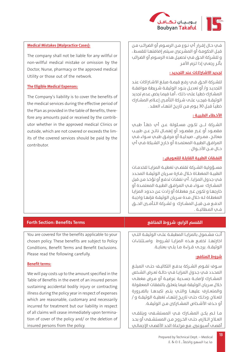

فـي حـال إقـرار أي نـوع مـن الرسـوم أو الضرائـب مـن قبـل الحكومـة أو المشـرعني سـيتم إضافتهـا للقسـط ، و للشـركة الحـق فـي تحصيـل هذه الرسـوم أو الضرائب بأثـر رجعـي إذا لـزم األمـر

## **تجـديد االشـرتاكـات عـند التجـديـد :**

للشـركة الحـق فـي رفـع قيمـة مبلـغ االشـراكات عنـد التجديـد و/ أو تعديـل بنـود الوثيقـة شـريطة موافقـة المشـرك خطيـا علـى ذلـك ، أمـا فيمـا يخص عـدم تجديد الوثيقـة فيجـب علـى شـركة الت�أمـن إعـام المشـرك خطيـاً قبـل 30 يـوم مـن تاريـخ انتهـاء العقـد .

# **األخــطاء الطـبـيــة :**

الشــركة لــــن تكــون مسـئولة عــن أي خطــأ طبــي مقصــود أو غــي مقصــود أو إهمــال ناتــج عــن طبيــب معالـج ، ممـرض ، صيدليـة أو مرفـق طبـي سـواء فـي المرافـق الطبيـة المعتمـدة أو خـارج الشـبكة فـي أي حـال مــن الأحــوال .

# **النفـقات الطبـيـة القابلـة للتعـويـض :**

مســؤولية الشــركة تقتضــي تغطيــة المزايــا للخدمــات الطبيــة المغطــاة خـلال فــترة سـريان الـوثيقــة الـمحـدد فـي جـدول المزايـا ، أي نفقـات تدفـع أو تؤخـذ مـن قبل المشـرك سـواء فـي المرافـق الطبيـة المعتمـدة أو خارجهـا و ت�كـون غـر مغطـاة أو زادت عـن حـدود المزايـا المغطـاة لـه خـال مـدة سـريان الوثيقـة فإنهـا واجبـة الدفـع مــن قبــل المشــترك و لشــركة الـتـأمـــين الحــــق فــي المـطالبــة .

أنــت مشــمول بالمزايــا المطبقــة علــى الوثيقــة التــي اخترتهــا. تخضـع هــذه المزايــا لشــروط واسـتثناءات الوثيقــة. يرجــى قــراءة مــا يلــي بعنايــة.

## **شروط المنافع:**

ســوف تقــوم الشــركة بدفـع التكاليــف حتـــم المبلــغ المحـدد فـي جـدول المزايـا فـي حالـة تعـرض الشـخص المشــترك لإصابــة حســدية عرضيــة أو مــرض مغطــي خـال سـريان الوثيقة فيما يتعلـق بالنفقات المعقولة والمتعــارف عليهــا والتــي يتــم ت�كبدهــا بالضــرورة للعـاج، وذلـك حتـى تاريـ�خ إنتهـاء تغطيـة الوثيقـة و / أو حـذف الأشـخاص المشــتركبن مــن الـوثيقــة.

مــا لــم يكــن المشــرك فــي المستشــفى ويتلقــى العــاج الــازم، حتــى الخــروج مــن المستشــفى أو بحــد أقصـى أسـبوعـن. مـع مراعـاة الحد الأقصـى الاحمالـي

The company shall not be liable for any willful or non-willful medical mistake or omission by the Doctor, Nurse, pharmacy or the approved medical Utility or those out of the network.

## **The Eligible Medical Expenses:**

The Company's liability is to cover the benefits of the medical services during the effective period of utor whether in the approved medical Clinics or fore any amounts paid or received by the contribthe Plan as provided in the table of Benefits, thereits of the covered services should be paid by the outside, which are not covered or exceeds the lim-.contributor

## **القسم الرابع: شـروط المنافع Terms Benefits :Section Forth**

You are covered for the benefits applicable to your chosen policy. These benefits are subject to Policy Conditions, Benefit Terms and Benefit Exclusions. Please read the following carefully.

## **Benefit terms:**

We will pay costs up to the amount specified in the Table of Benefits in the event of an insured person sustaining accidental bodily injury or contracting illness during the policy year in respect of expenses which are reasonable, customary and necessarily incurred for treatment but our liability in respect tion of cover of the policy and/ or the deletion of of all claims will cease immediately upon terminainsured persons from the policy.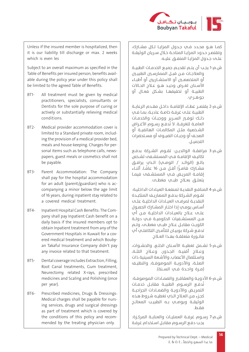

كمــا هــو محــدد فــي جـدول المزايــا لــكل مشــترك، وتقتصـر حـدود المزايـا المتاحــة خـلال سـريان الـوثيقــة علــى جــدول المزايــا المتفــق عليــه.

- ش.م1- يجــب أن يتــم تقديــم جميــع الخدمــات الطبيــة والعلاجـات مــن قبــل الممارســـين الطبيـــين أو المتخصصــين أو الاستشــاريـين أو أطبــاء األســنان لغــرض وحيــد هــو عــاج الحــاالت الطبيــة أو تخفيفهــا بشــكل فعــال أو جوهــري.
- ش.م-2 يقتصــر غطـاء الإقامــة داخـل مقــدم الرعايــة الطبيـة علـى غرفـة خاصـة عاديـة، بمـا فـي ذلــك توفــر الســري�ر ووجبــات والخدمــات العامــة للغرفــة. لا تُدفــع رســوم الأغــراض الشــخصية مثــل المكالمــات الهاتفيــة أو الصحــف أو وجبــات الضيــوف أو مســتحضرات التجميـــــــ
- ش.م-3 مرافقــة الـوالديــن: تقــوم الشــركة بدفـع تكاليـف الإقامــة فــم المستشـفم لشـخص بالــغ (الـوالــد / الـوصــم) الــذي يرافــق مشــترك قاصــرًا أقــل مــن 16 عامًــا، أثنــاء إقامــة المريــض فــي المستشــفى فيمــا يتعلــق بعــاج طبــي مغطــى.
- ش.م4- المنافـع النقديـة لمنفعـة العيـادات الداخليـة: تقــوم الشــركة بدفــع المصاريــف المت�كبــدة النقديــة لمرضــى العيــادات الداخليــة علــى أسـاس يومـي إذا اختـار المشـرك الحصـول علــى عــاج بالعيــادات الداخليــة مــن أي مــن المستشــفيات الحكوميــة فــي دولــة الكويــت مقابــل عــاج طبــي مغطــى، ولــم تدفـع شــركة بـوبيــان للتأمــين التكافلــي أب فاتـورة متعلقــة بهــذا العــلاج.
- ش.م-5 تشــمل تغطيــة الأســنان الخلــع، والحشــوات، وعــاج أقنيــة الجــذور، وعــاج اللثــة، واستئصال الأعصاب، والأشعة السينية ذات الصلــة، واألدويــة الموصوفــة، والنظيــف )مــرة واحــدة فــي الســنة(.
- ش.م-6 الأدويــة والعقاقـــ والضمــادات الموصوفــة: تُدفــع الرســوم الطبيــة مقابــل خدمــات التمريـض والأدويــة والضمــادات الجراحيــة كجـزء مـن العـاج الـذي تغطيـه شـروط هـذه الوثيقــة وي�وصــي بــه الطبيــب المعالــج فقــط.
- ش.م7- رســوم غرفــة العمليــات والعنايــة المركــزة: يجـب دفـع الرسـوم مقابـل اسـتخدام غرفـة

Unless if the insured member is hospitalized, then it is our liability till discharge or max. 2 weeks which is even les

Subject to an overall maximum as specified in the able during the policy year under this policy shall Table of Benefits per insured person, benefits availbe limited to the agreed Table of Benefits.

- BT1- All treatment must be given by medical practitioners, specialists, consultants or Dentists for the sole purpose of curing or actively or substantially relieving medical .conditions
- BT2- Medical provider accommodation cover is ing the provision of a medical provider bed, limited to a Standard private room, includpapers, guest meals or cosmetics shall not sonal items such as telephone calls, newsmeals and house-keeping. Charges for perbe payable.
- BT3- Parent Accommodation: The Company shall pay for the hospital accommodation companying a minor below the age limit for an adult (parent/guardian) who is acof 16 years, during inpatient stay related to a covered medical treatment.
- pany shall pay Inpatient Cash benefit on a BT4- Inpatient Hospital Cash Benefits: The Comdaily basis if the insured members opt to obtain Inpatient treatment from any of the an Takaful Insurance Company didn't pay ered medical treatment and which Bouby-Government Hospitals in Kuwait for a covany invoice related to that treatment.
- BT5- Dental coverage includes Extraction, Filling, Root Canal treatments, Gum treatment, Neurectomy, related X-rays, prescribed medicines and Scaling and Polishing (once per year).
- BT6- Prescribed medicines, Drugs & Dressings: ing services, drugs and surgical dressings Medical charges shall be payable for nursas part of treatment which is covered by mended by the treating physician only. the conditions of this policy and recom-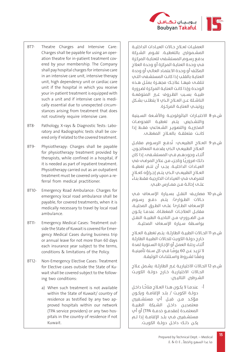

العمليــات لعــاج حــاالت العيــادات الداخليــة المشــمولني بالتغطيــة. تقــوم الشــركة بدفـع رسـوم المستشـفى للعنايـة المركـزة فـي وحـدة العنايـة المركزة أو وحـدة العالج المكثـف أو وحـدة االعتمـاد العالـي أو وحدة العنايـة بالقلـب إذا كانـت المستشـفى التـي ت�تلقــى فيهــا عالجــك مجهــزة بمثــل هــذه الوحـدة وإذا كانـت العنايـة المركـزة لضـرورة طبيــة بســبب الظــروف غــر المتوقعــة الناشــئة عــن العــاج الــذي ال يتطلــب بشــكل روتينــي العنايــة المركــزة.

- ش.م8- االختبــارات الباثولوجيــة واألشــعة الســينية .<br>والتشـخيص: يتــم تغطيــة الفحوصــات المخميــة والتصويــ الشـعاعب فقـط إذا كانــت متعلقــة بالعــاج المغطــى.
- ش.م-9 العــلاج الطبيعــمي: تُدفــع الرســوم مقابــل العـاج الطبيعـي الـذي يقدمـه المعالجـون، أثنــاء وجودهــم فــي المستشــفى، إذا كان ذلـك ضروريًـا وكجـزء مـن عـاج المرضـى في العيـادات الداخليــة. يجــب أن تتــم تغطيــة العــاج الطبيعــي الــذي يتــم إجــراؤه كعــاج للمرضـى فـي العيـادات الخارجيـة فقـط بنـاءً علــى إحالــة مــن ممــارس طبــي.
- ش.م10- مصاريــف النقــل بســيارة اإلســعاف فــي حــاالت الطــوارئ: يتــم دفــع رســوم اإلســعاف الطــارئ علــى الطــرق المحليــة، مقابـل العلاجـات المغطــاة، عندمــا يكــون مــن الضــروري مــن الناحيــة الطبيــة النقــل بواســطة ســيارة اإلســعاف المحليــة.
- ش.م-11 الحــالات الطبيــة الطارئــة: يتــم تغطيــة العــلاج خـارج دولـة الكويـت للحـاالت الطبيـة الطارئـة أثنـاء رحلـة العمـل أو اإلجـازة السـنوية لمدة لا تزيـد عــن 60 يومًــا فــي كل ســنة تأمينيــة وفقًـا لشـروط واسـتثناءات الوثيقـة.
- ش.م12- الحـاالت االختياريـة غـر الطارئـة: يشـمل عـاج الحـالات الاختياريــة خـارج دولــة الكويـت الشــرطــــن التاليـــــــن:
- أ- عندمــا ال يكــون هــذا العــاج متاحً ــا داخــل دولــة الكويــت / بلــد اإلقامــة ويكــون مؤكـد مــن قبــل أي مستشــفيــن معتمديــن داخــل الشــبكة الطبيــة المعتمــدة )مقدمــو خدمــة TPA )أو أي مستشــفي�ي فــي بلــد اإلقامــة إذا لــم يكــن ذلــك داخــل دولــة الكويــت.
- BT7- Theatre Charges and Intensive Care: ered by your membership. The Company ation theatre for in-patient treatment cov-Charges shall be payable for using an opershall pay hospital charges for intensive care in an intensive care unit, intensive therapy unit, high dependency unit or cardiac care unit if the hospital in which you receive your in-patient treatment is equipped with stances arising from treatment that does cally essential due to unexpected circumsuch a unit and if intensive care is medinot routinely require intensive care.
- ered only if related to the covered treatment. ratory and Radiographic tests shall be cov-BT8- Pathology, X-rays & Diagnostic Tests: Labo-
- BT9- Physiotherapy: Charges shall be payable for physiotherapy treatment provided by therapists, while confined in a hospital, if it is needed as part of inpatient treatment. Physiotherapy carried out as an outpatient treatment must be covered only upon a re-<br>ferral-from-medical-practitioner.
- BT10- Emergency Road Ambulance: Charges for emergency local road ambulance shall be payable, for covered treatments, when it is medically necessary to travel by local road .ambulance
- gency Medical Cases during business trip side the State of Kuwait is covered for Emer-BT11- Emergency Medical Cases: Treatment outor annual leave for not more than 60 days each insurance year subject to the terms. conditions & limitations of the Policy.
- BT12- Non-Emergency Elective Cases: Treatment wait shall be covered subject to the follow-<br>ing two conditions: for Elective cases outside the State of Ku-<br>wait shall be covered subject to the followfor Elective cases outside the State of Ku
	- a) When such treatment is not available within the State of Kuwait/ country of proved hospitals within our network residence as testified by any two appitals in the country of residence if not (TPA service providers) or any two hos-.Kuwait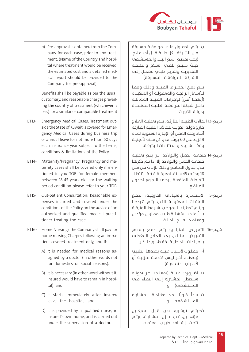

ب -يتــم الحصــول علــى موافقــة مســبقة مــن الشــركة لــكل حالــة قبــل أي عــاج. )يجـب تقديـم اسـم البلـد والمستشـفى حيــث ســيتم تلقــي العــاج والت�كلفــة التقديريــة وتقريــ�ر طبــي مفصــل إلــى الشــركة للموافقــة المســبقة).

يتــم دفــع المصــراف الطبيــة وذلــك وفقــا للأسـعار الرائجــة والمعقولــة أو المتكبــدة (أيهمــا أقــل) للإجــراءات الطبيــة المماثلــة داخــل شــبكة المرافقــة الطبيــة المعتمــدة بدولــة الكويــت.

- ش.م-13 الحــالات الطبيــة الطارئــة: يتــم تغطيــة العـلاج خـارج دولـة الكويـت للحـاالت الطبيـة الطارئـة أثنـاء رحلـة العمـل أو اإلجـازة السـنوية لمدة لا تزيـد عــن 60 يومًــا فــي كل ســنة تأمينيــة وفقًا لشـروط واسـتثناءات الوثيقـة.
- ش.م14- منفعــة الحمــل والــوالدة: لــن يتــم تغطيــة منفعــة الحمــل والــوالدة إال اذا تــم ذكرهــا فـي جـدول المنافـع وذلـك لإلنـاث مـن سـن 18 وحتــم 45 ســنة. لمعرفــة فــترة الانتظــار لتغيطــة المنفعــة يرجــى الرجــوع لجــدول المنافـع.
- ش.م15- االستشــارة بالعيــادات الخارجيــة: تدفــع النفقــات المعقولــة التــي يتــم ت�كبدهــا ويتــم تغطيتهــا بموجــب شــروط الوثيقــة بنـاءً علـى استشـارة طبيـب ممـارس مؤهـل ومعتمـد لعالـح الحالــة.
- ش.م16- التمريــض المنزلــي: يتــم دفــع رســوم التمريــض المنزلــي بعــد العــاج المغطــى بالعيــادات الداخليــة فقــط، وإذا كان:
- أ- مطلـوب ألسـباب طبيـة يحددهـا الطبيـب )بمعنــى آخــر ليــس كخدمــة منزليــة أو ألســباب اجتماعيــة(
- ب- لضــروري طبيــة (بمعنــمـــ آخــر بدونــه ســيضطر المشــترك إلــــى البقــاء فــي المستشـفم)؛ و
- ت- يبــدأ فــورًا بعــد مغــادرة المشــرك المستشــفى؛ و
- ث- يتــم توفــره مــن قبــل ممرضــن مؤهلــن، فــي منــزل المشــرك، ويتــم تتحـت اشــراف طبيـــب معتمــد.

tal where treatment would be received. ment. (Name of the Country and hospipany for each case, prior to any treatb) Pre-approval is obtained from the Comical report should be provided to the the estimated cost and a detailed med-Company for pre-approval).

Benefits shall be payable as per the usual, ing the country of treatment (whichever is customary, and reasonable charges prevailless) for a similar or comparable treatment

- gency Medical Cases during business trip side the State of Kuwait is covered for Emer-BT13- Emergency Medical Cases: Treatment outor annual leave for not more than 60 days each insurance year subject to the terms, conditions & limitations of the Policy.
- tioned in you TOB for female members ternity cases shall be covered only if men-BT14- Maternity/Pregnancy: Pregnancy and mabetween 18-45 years old. for the waiting period condition please refer to your TOB.
- penses incurred and covered under the BT15- Out-patient Consultation: Reasonable exconditions of the Policy on the advice of an authorized and qualified medical practi-<br>tioner treating the case.
- BT16- Home Nursing: The Company shall pay for home nursing Charges following an in-pa-<br>tient covered treatment only, and if:
	- signed by a doctor (in other words not A) it is needed for medical reasons asfor domestics or social reasons).
	- B) it is necessary (in other word without it, insured would have to remain in hospi-<br>tal); and
	- C) it starts immediately after insured leave the hospital, and
	- D) it is provided by a qualified nurse, in insured's own home, and is carried out under the supervision of a doctor.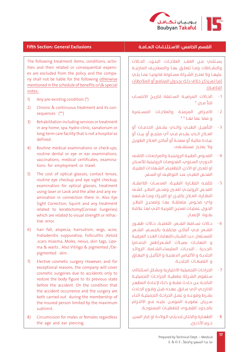

#### **القسم الخامس: االســتـثـنــاءات الـعـــامــة Exclusions General :Section Fifth**

ny shall not be liable for the following otherwise es are excluded from the policy and the compaities and their related or consequential expens-The following treatment items, conditions, activmentioned in the schedule of benefits or \& special :notes

- 1) Any pre-existing condition  $(*)$
- 2) Chronic & continuous treatment and its con-<br>sequences (\*\*)
- 3) Rehabilitation including services or treatment in any home, spa, hydro-clinic, sanatorium or long-term care facility that is not a hospital as .defined
- 4) Routine medical examinations or check-ups, routine dental or eye or ear examinations. tions for employment or travel. vaccinations, medical certificates, examina-
- 5) The cost of optical glasses, contact lenses, routine eye checkup and eye sight checkup, examination for optical glasses, treatment amination in connection there in. Also Eye using laser or Lasik and the alike and any ex-Sight Correction, Squint and any treatment related to keratectomy (Corneal Surgeries) which are related to visual strength or refrac-<br>tive-error.
- 6) hair fall, alopecia, hairsutism, wigs, acne, hidradenitis suppurativa, Folliculitis , Keloid ma & warts , Also Vitiligo & pigmented /De-<br>pigmented skin. ,scars miasma, Moles, nevus, skin tags, Lipo-<br>ma & warts , Also Vitiligo & pigmented /De-.scars miasma, Moles, nevus, skin tags, Lipo-
- 7) Elective cosmetic surgery However, and for exceptional reasons, the company will cover cosmetic surgeries due to accidents only to restore the body figure to its previous state before the accident. On the condition that the accident occurrence and the surgery are both carried out during the membership of the insured person limited by the maximum .sublimit
- 8) Circumcision for males or females regardless the age and ear piercing.

يســت�ثني مــن العقــد العالجــات، البنــود، الحــاالت والنشــاطات ومــا ت�تعلــق بهــا والمصاريــف المرتتبــة عليهــا وال تعتــر الشــركة مســئولة قانونيــا عمــا يلــي )مـا لـم يذكـر خـاف ذلـك بجـدول المنافـع أو المالحظات الخاصــة):

- 1 الحــاالت المرضيــة الســابقة لتاريــ�خ االنتســاب للتأ مــن \*
- 2 االمــراض المزمنــة والعالجــات المســتمرة و مضا عفا تهــا \* \*
- 3 الت�أهيــل الطبــي والــذي يشــمل الخدمــات أو العــاج الــذي يقــدم فــي أي منتجــع أو بيــت أو عبـادة مائيـة أو مصحـة أو أماكـن العـلاح الطويـل وال يعتــر مستشــفى.
- 4 الفحـوص الطبيـة الروتينيـة والمراجعـات، الكشـف الـدوري السـنوي، الفحوصـات الروتينية لألسـنان او للعـن او االذن، التطعيـم، الشـهادات الطبيـة، الفحـص الطبـي عنـد التوظيـف او السـفر.
- 5 ت�كلفــه النظــارة الطبيــة، العدســات الالصقــة، الفحــص الروتينــي للعــن وفحــص النظــر، كشــف النظــارة، العــاج بالليــزر او الليــزك ومــا شــابهه واي فحــوص متعلقــة بهــا وتصحيــح النظــر، الحـول، عمليـات تصحيـح القرنيـة التـي لهـا عالقـة بقــوة الإبصــار.
- 6 حــاالت تســاقط الشــعر، الثعلبــة، حــاالت ظهــور الشــعر فــي أماكــن مختلفــة بالجســم، الشــعر المسـتعار، حـب الشـباب،التهابات الغـدد العرقيـة و التهابــات بصيــلات الشــعر(طفح الحمــام) ،الجــدرة ، الندبــات، المليساء،الشــامة، الزوائــد .<br>الجلديـة و الأكيـاس الدهنيـة و الثـآليـل و البهـاق و التصبغــات الجلديــة.
- 7 الجراحـات التجميلية االختيارية وبشـكل اسـت�ثنائي سـتقوم الشـركة بتغطيــة الجراحـات التجميليــة الناتجـة عـن حـادث فقـط و ذلـك إلعـادة المظهـر الخارجـي الـي سـابق عهـده قبـل وقـوع الحـادث بشــرط وقوعــه و عمــل الجراحــة التجميليــة اثنــاء ســريان عضويــه المومــن عليــه مــع االلتــزام بالحــدود القصــوى للتغطيــات الممنوحــة.
- 8 الطهـارة والختـان لحديثـي الـوالدة او كبار السـن، خـرم الأذنـــرن.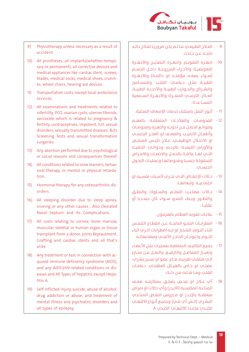

- العلاج الطبيعي ما لـم يكن ضروريا لعلاج حالـه  $-9$ ناتحـه عـن حـادث.
- .<br>10- اجهـزه التقويــم واجهـزه التصحيــد والأحهـزة التعويضيــة والأجـزاء المزروعــة داخـل الجســم (ســواء بصفــه مؤقتــه او دائمــة) والأجهــزة الطبية مثل دعامات القلب والمسامع والشـرائح والجـوارب الطبيــة والأحذيــة الطبيــة، العكاز، الكرسـب المتحـرك والأجهـزة السـمعية المساعدة.
	- 11 أجور النقل باستثناء خدمات الإسعاف المحلية.
- 12- الفحوصـات والعلاجـات المتعلقــة بالعقــم وموانع الحمـل مـن ادويـه واجهـزه وفحوصـات أو الاختلال الوظيفـص، عـلاج تكيس المبايض والأورام الليفيــة بالرحــم ودوالـــمب الخصيــو التـــم لهــا علاقــة بالحمــل والاخصــاب والامــراض المنقولة جنسيا وفحوصاتها وعمليات التحول الحنسـم.
- 13 حالات الإجهــاض التــمب تجـرـمب لأســباب نفسـيـه أو احتماعيــه وتبعاتهـا.
- 14- حالات مصاعب التعلـم والسـلوك والنطــق والتطـور ويـطء النمـو سـواء كان جسـديا أو  $\pm 1$ ılöc
	- 15 علاحات تقويه العظام بالهرمون.
- 16- اضطرابات النميو الناتجـة عـن انقطـاء التنفـس أثناء النـوم، الشخص أو أيـو أضطرأيات أخر ما أثناء النـوم واعوجـاج الحاجز الأنفــي ومضاعفاتــه.
- 17 أحميع التكاليف المتعلقة بعمليات نقل الأعضاء الـي متلقـي لقرنيـه، نخـاع، عضو او نسـيح بشـري، عظلـف أو خـاص بالهيـكل العظمـف، دعامـات القلب وما شابه من ذلك.
- 18- أَبِ عـلاج او فحـص يتعلــق بمتلازمــه ضعـف المناعـة المكتسبة (الايدز) وأمٍ حالات او امراض متعلقــة بالإيــدز أو فـــــروس النقــص المناعـــي البشري (اتش أب في) وجميع أنواع الالتهاب الكيدة قاعدا الالتهان الكيدة A.
- Physiotherapy unless necessary as a result of  $9)$ accident.
- 10) All prostheses, all implants (whether temporary or permanent), all corrective devices and medical appliances like: cardiac stent, screws, blades, medical socks, medical shoes, crutches, wheel chairs, hearing aid devices.
- $11)$ Transportation costs, except local ambulance services.
- 12) All examinations and treatments related to infertility, PCO, ovarian cysts, uterine fibroids, varicocele which is related to pregnancy & fertility, contraceptives, impotent, IUF, sexual disorders, sexually transmitted diseases &its Screening Tests and sexual transformation surgeries.
- 13) Any abortion performed due to psychological or social reasons and consequences thereof.
- 14) All conditions related to slow learners, behavioral therapy, or mental or physical retardation.
- 15) Hormonal therapy for any osteoarthritis disorders
- 16) All sleeping disorder due to sleep apnea, snoring or any other causes, Also Deviated Nasal Septum and its Complications.
- 17) All costs relating to cornea, bone marrow, muscular, skeletal or human organ or tissue transplant from a donor, joints Replacement, Grafting and cardiac stents and all that's alike
- 18) Any treatment or test in connection with acquired immune deficiency syndrome (AIDS), and any AIDS\HIV-related conditions or diseases and All Types of hepatitis except Hepatitis A.
- 19) Self-inflicted injury, suicide, abuse of alcohol, drug addiction or abuse, and treatment of mental illness and psychiatric disorders and all types of epilepsy.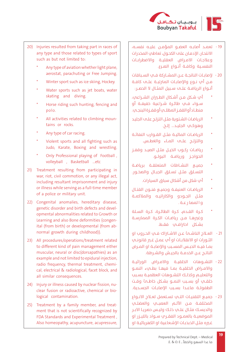

- 19 تعمــد أصابــه العضــو المؤمــن عليــه نفســه، االنتحـار، اإلدمـان على الكحـول، تعاطي المخدرات وعالجــات االمــراض العقليــة واالضطرابــات النفســية وكافــة أنــواع الصــرع.
- 20 إلصابــات الناتجــة عــن المشــاركة فــي الســباقات مــن أي نــوع واإلصابــات المرتتبــة علــى كافــة أنــواع الرياضــة علــى ســبيل المثــال ال الحصــر:
- أب شــكل مــن أشــكال الطــــران الشــراعي، ســواء فــي طائــرة شــراعية خفيفــة أو منطــاد أو القفــز المظلــي أو قفــزة البنجــي.
- الرياضات الشتوية مثل التزلـج علـى الجليد وهوكــي الجليــد... إلــخ.
- الرياضـات المائيــة مثــل القــوارب النفاثــة والتزلــج علــى المــاء والغطــس.
- رياضــات ركــوب الخيــل مثــل الصيــد وقفــز الحواجـز ورياضــة البولــو.
- .<br>جميــع النشــاطات المتعلقــة برياضــة التســلق مثــل تســلق الجبــال والصخــور.
	- أب شكل من أشكال سباق السيارات.
- الرياضـات العنيفــة وجميــع فنــون القتــال مثــل الجــودو والكاراتيــه والمالكمــة و ا لمصا رعــة .
- كــرة القــدم، كــرة الطائــرة، كــرة الســلة وغريهــا مــن رياضــات الكــرة الممارســة بشــكل احترافــي فقـط.
- 21 العــاج الناشــئ عــن االشــراك فــي الحــروب او الثــورات او االنقالبــات او أي عمــل غــر قانونــي بمــا فيــه الحبــس المســبب واإلصابــة او المــرض الناتــج عــن الخدمــة بالجيــش والشــرطة.
- 22 التشــوهات الخلقيــة واالمــراض الوراثيــة واالمــراض الخلقيــة بمــا فيهــا بطــيء النمــو والتعليــم وكذلــك التشــوهات العظميــة بســبب خلقــي أو بســبب النمــو بشــكل خاطــئ وقــت الطفولــة ماعــدا بســبب اإلصابــات الجســدية.
- 23 جميــع التقنيــات التــي تســتعمل لعــاج االنــواع المختلفــة مــن الألــم العصـــــب والعضلـــب والديســك مثــال علــي ذلــك وليــس حصريــا االبــر الموضعيــة بالعمــود الفقــري ســواد بالليــزر او غـره مثـل الذبذبـات اإلشـعاعية او الكهربائيـة او
- 20) Injuries resulted from taking part in races of any type and those related to types of sport such as but not limited to:
	- Any type of aviation whether light plane, aerostat, parachuting or Free Jumping.
	- Winter sport such as ice skiing, Hockey.
	- Water sports such as jet boats, water skating and diving.
	- Horse riding such hunting, fencing and .polo
	- \* All activities related to climbing moun-<br>tains-or-rocks.
	- Any type of car racing.
	- Violent sports and all fighting such as Judo, Karate, Boxing and wrestling.
	- Only Professional playing of Football, volleyball, Basketball ...etc
- 21) Treatment resulting from participating in war, riot, civil commotion, or any illegal act, including resultant imprisonment and injury or illness while serving as a full-time member of a police or military unit.
- 22) Congenital anomalies, hereditary disease, opmental abnormalities related to Growth or genetic disorder and birth defects and develital (from birth) or developmental (from ab-<br>normal growth during childhood)}. Learning and also Bone deformities {congen-<br>ital (from birth) or developmental (from ab-Learning and also Bone deformities {congen-
- 23) All procedures/operations/treatment related to different kind of pain management either muscular, neural or disc (dorsapathies) as an example and not limited to epidural injection, cal, electrical & radiological, facet block, and radio frequency, thermal treatment, chemiall similar consequences.
- clear fusion or radioactive, chemical or bio-<br>logical contamination. Injury or illness caused by nuclear fission, nu-<br>clear-fusion-or-radioactive, chemical-or-bio-24) Injury or illness caused by nuclear fission, nu-
- ment that is not scientifically recognized by 25) Treatment by a family member, and treat-FDA Standards and Experimental Treatment, Also homeopathy, acupuncture, acupressure,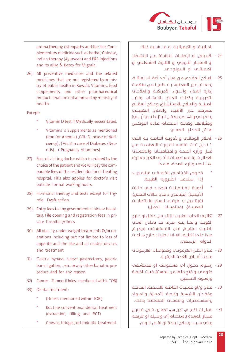

aroma therapy, osteopathy and the like. Complementary medicine such as herbal, Chinese, Indian therapy (Ayurveda) and PRP injections and its alike & Botox for Migrain.

26) All preventive medicines and the related medicines that are not registered by ministry of public health in Kuwait. Vitamins, food supplements, and other pharmaceutical products that are not approved by ministry of health.

Except:

- Vitamin D test if Medically necessitated.
- Vitamins 's Supplements as mentioned (Iron for Anemia) (Vit. D incase of deficiency), (Vit. B in case of Diabetes /Neuritis), (Pregnancy Vitamines)
- 27) Fees of visiting doctor which is ordered by the choice of the patient and we will pay the comparable fees of the resident doctor of treating hospital. This also applies for doctor's visit outside normal working hours.
- 28) Hormonal therapy and tests except for Thyroid Dysfunction.
- 29) Entry fees to any government clinics or hospitals. File opening and registration fees in private hospitals/clinics.
- 30) All obesity, under-weight treatments &/or operations including but not limited to loss of appetite and the like and all related devices and treatment
- 31) Gastric bypass, sleeve gastrectomy, gastric band ligation, ... etc. or any other bariatric procedure and for any reason.
- 32) Cancer-Tumors (Unless mentioned within TOB)
- 33) Dental treatment:
	- (Unless mentioned within TOB.)
	- Routine conventional dental treatment (extraction, filling and RCT)
	- Crowns, bridges, orthodontic treatment.

الحراريـة أو الكيميائيــة أو مــا شــابـه ذلـك.

- 24 الامـراض او الإمابـات الناشـئة عـن الانشـطار أو الأنفجار النـووي أو التلـوث الأشـعاعب أو الكيميائـب او البيولوجـب.
- 25 العـلاح المقـدم مـن قبـل أحـد أعضـاء العائلــة، والعـلاج غـي المعـترف بــه علميـا مــن منظمــة أدارة الغذاء واللواء الأفريكية والعلاجات التحرسية وكذلك العلاج بالأعشاب والابر الصنيبة والعلاج بالاستنشاق وعلاج العظام بمعرفـه غــي الأطبـاء والعـلاج التكميلـي والصينـب والهنـدب وحقـن البلازمـا (بـب أر بـب) ومثيلاتهـا وكذلـك اسـتخدام مـادة البوتكـس لعـلاج الصـداع النصفـي.
- 26 العـلاح الوقائـم والأدويـة الخاصـة بــه التــمب لا تدرج تحت قائمــه الأدويــة المعتمــدة مــن قيل وزاره المحـة والفيتامينـات والمكمـلات الغذائيــة، والمســتحضرات الأخـرـم الغــي معــترف بهـا لـدي وزاره الصحـة، ماعـدا:
- فحـوص الفيتامـين الخاصــة ب فيتامــين د إذا استدعت الضرورة الطبيـة.
- أدويــة الفيتامينــات (الحديــد فــما حــالات الأنيميـــا)، (فيتامــــرن د فـــمي حــالات النقــص)، (فيتامـين ب لمرضــم السـكر والالتهابـات العصبيــة)، (فيتامينــات الحمــل)
- 27 اتكاليـف اتعـاب الطبيـب الزائـر مـن داخـل أو خـارج الكويت وانمـا يتـم صـرف مـا يعـادل اتعـاب الطبيب المقيــم فــمب المستشـفـمب وبطيــق هذا علـم تكاليـف اتعـاب الطبيـب خـارج سـاعات الدوام الرسمي.
- 28 علاج الخلـل الهرمونـي وفحوصـات الهرمونـات ماعدا أمراض الغدة الدرقيـة.
- 29 رسـوم دخـول أب مسـتوصف او مستشـفـ حكومب او فتح ملف من المستشفيات الخاصة ورسـوم التسـجيل.
- .<br>30 عـلاج و/او عمليـات الخاصــة بالسـمنة، النحافــة وفقدان الشهية وكافـة الأحهـزة والمـواد والمستحضرات والنفقات المتعلقـة بذلـك.
- .<br>31 عمليات تكميم، تدبيس، تصغي قبص، تحويل مسار المعدة باستخدام أب وسيله او طريقه ولأب سيب، وعلاج زيادة أو نقص الـوزن.

20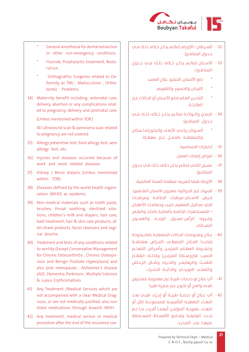

- 32 السـرطان –الأورام (مالـم يذكـر خـلاف ذلـك فـب حدول المنافع).
- 33 الاسنان (مالـم بذكـر خـلاف ذلـك فـص جـدول المنافع):
	- خلع الأسنان، الحشو، علاج العصب
		- التيجان والجسور والتقويم.
- التخدير العام لخلع الأسنان أو الحالات غير الطارئـة.
- 34 الحمــل والــولادة (مالــم يذكـر خـلاف ذلـك فــمپ جدول المنافع):
- السونار رباعي الأبعاد والبانوراما سكان والمتعلقـة بالحمـل غــي مغطـاة.
	- 35 اختيارات الحساسية.
	- 36 أمراض إصابات العمل.
- 37 غسيل الكلـي (مالـم يذكـر خلاف ذلـك فـي جدول المنافع).
	- 38 الأوبئة طبقا لتعريف منظمة الصحة العالمية.
- .<br>39 المـواد غـم الدوائية: معجون الأسنان-الشاميو-فرش الأسنان-مرطبات الحلاقـة ومرطبـات الجلد-محاليل التعقيم-حليب وحفاضات الأطفال – المستحضرات الخاصة بالعناية بالجلد والشعر وفـروه الرأس-غسـول الوجـه والغسـول النسائم.
- 40 علاج وفحوصات الحالات المتعلقـة بالشـيخوخة (ماعـدا العـلاح التحفظــب لأمـراض هشاشــة وخشـونة العظـام المزمـن وأمـراض التضخـم الحميد للبروستاتا المزمـن) وكذلـك انقطـاع الطمث والزهايمر والخرف وشـلل الرعـاش والتصلب اللويحي والذئبـة الحمـراء.
- 41 أب علاج او خدمات طبية غـَ مصحوبة بتشخيص طيب واضح أو تكون غـم مـمرة طبيـا.
- 42- أب عـلاج أو خدمــة طبيــة أو إجـراء طبــي بعـد انتهـاء التغطيــة التأمينيــة للمجموعــة ككل أو انتهـاء عضويـة المؤمـن أبهمـا أقـرب، مـا لــم تحدد الوثيقـة وتدفـع الأقسـاط المسـتحقة علىهــا عنـد التحديـد.
- General anesthesia for dental extraction or other non-emergency conditions.
- Fluoride, Prophylactic treatment, Restoration
- Orthognathic Surgeries related to Deformity as TMJ, Malocculsion, Orthodontic Problems.
- 34) Maternity benefit including: antenatal care, delivery, abortion or any complications related to pregnancy, delivery and postnatal care.

(Unless mentioned within TOB.)

4D ultrasound scan & panorama scan related to pregnancy are not covered.

- 35) Allergy preventive test, food allergy test, aero allergy test...etc.
- 36) Injuries and diseases occurred because of work and work related diseases
- 37) Kidney / Renal dialysis (Unless mentioned within TOB).
- 38) Diseases defined by the world health organization (WHO) as epidemic.
- 39) Non-medical materials such as tooth paste, brushes, throat soothing, sterilized solutions, children's milk and diapers, hair care, bald treatment, hair & skin care products, after-shave products, facial cleansers and vaginal douche
- 40) Treatment and tests of any conditions related to senility (Except Conservative Management for Chronic Osteoarthritis, Chronic Osteoporosis and Benign Prostate Hyperplasia) and also post menopause, Alzheimer's disease (AD), Dementia, Parkinson, Multiple Sclerosis & Lupus Erythromatosis
- 41) Any Treatment /Medical Services which are not accompanied with a clear Medical Diagnosis, or are not medically justified, also non listed medications through Kuwaiti MOH.
- 42) Any treatment, medical service or medical procedure after the end of the insurance cov-

 $21$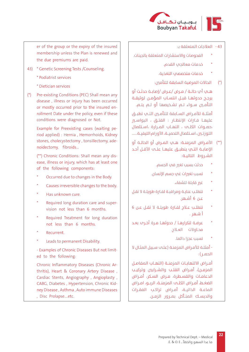

#### 43 - العلاحات المتعلقة يـ:

- الفحوصات والاستشارات المتعلقة بالجينات.
	- خدمات معالحم القدم.
	- خدمات متخصصب التغذية.
	- الحالات المرضية السابقة للتأمين:  $(\ast)$

هـي أب حالــة / مــرض /عــرض /إصابــة حدثــت أو يرجح حدوثهـا قبـل انتسـاب المؤمـن لوثيقـة التأمــــن ســـواء تــــم تشـــخىــصها أو لــــم بتـــم.

أمثلـــة للأمــراض الســاىقة للتأمــــن التـــــن تطبـــق عليهـا فـُترات الإنتظـار : الفتــق ، البـواســ<del>ر</del> اللوزتــن، اسـتئصال اللحميــة، الأورام الليفيــة......

- (\*\*) الأمـراض المزمنــة: هــمي المــرض أو الحالــة أو الإماية التبر بنطيق عليها علير الأقل أحد الشروط التاليـة:
	- حدثت بسبب تغي في الجسم.
	- تسبب تغيرات غي جسم الإنسان.
		- غي قابلة للشفاء.
- تتطلب عنايـة ومراقبـة لفـترة طويلـة لا تقـل عـن 6 أشـهر.
- تتطلب علاج لفـترة طويلــة لا تقــل عــن 6 أ شهر .
- عرضـة لتكرارهـا / حدوثهـا مـرة أخـرـم بعـد محـاولات العـلاح.
	- تسبب عجزا دائما.

- أمثلـة للأمـراض المزمنـة (علـص سبيل المثـال لا الحصر):

أمـراض الالتهابـات المزمنــة (التهـاب المفاصـل المزمـن)، أمـراض القلـب والشـرايـن وتركيـب الدعامـات والقسـطرة، مـرض السكر، أمـراض الضغط، أمـراض الكلــما لمزمنــة، الربــو، امـراض الماعــة الذاتيـــة، أمــراض تراكــب الفقــرات والديسك المتأكل بمـرور الزمـن.

er of the group or the expiry of the insured membership unless the Plan is renewed and the due premiums are paid.

- 43) \* Genetic Screening Tests / Counseling.
	- \* Podiatrist services
	- \* Dietician services
- (\*) Pre-existing Conditions (PEC) Shall mean any disease, illness or injury has been occurred or mostly occurred prior to the insured enrollment Date under the policy, even if these conditions were diagnosed or Not.

Example for Preexisting cases (waiting period applied) : Hernia, Hemorrhoids, Kidney stones, cholecystectomy, tonsillectomy, adenoidectomy, fibroids...

(\*\*) Chronic Conditions: Shall mean any disease, illness or injury, which has at least one of the following components:

- Occurred due to changes in the Body.
- Causes irreversible changes to the body.
- Has unknown cure.
- Required long duration care and supervision not less than 6 months.
- Required Treatment for long duration not less than 6 months.
- Recurrent
- Leads to permanent Disability.

- Examples of Chronic Diseases But not limited to the following:

Chronic Inflammatory Diseases (Chronic Arthritis), Heart & Coronary Artery Disease, Cardiac Stents, Angiography, Angioplasty, CABG, Diabetes, Hypertension, Chronic Kidney Disease, Asthma, Auto immune Diseases , Disc Prolapse ... etc.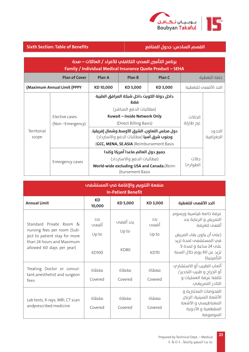

القسم السادس: جدول المنافع

|  | Sixth Section: Table of Benefits |  |
|--|----------------------------------|--|
|  |                                  |  |

|                                                    |                                                                                                   | برنامج التأمين الصحب التكافلب للأفراد / العائلات – صحة         |                                   | Family / Individual Medical Insurance Quote Product - SEHA |             |                     |
|----------------------------------------------------|---------------------------------------------------------------------------------------------------|----------------------------------------------------------------|-----------------------------------|------------------------------------------------------------|-------------|---------------------|
| <b>Plan of Cover</b><br>Plan A<br>Plan B<br>Plan C |                                                                                                   |                                                                |                                   |                                                            | خطة التغطية |                     |
|                                                    | (Maximum Annual Limit (PPPY                                                                       |                                                                | KD 10,000<br>KD 5,000<br>KD 3,000 |                                                            |             | الحد الأقصص للتغطية |
|                                                    |                                                                                                   | داخل دولة الكويت داخل شبكة المرافق الطبية                      |                                   |                                                            |             |                     |
|                                                    |                                                                                                   | (مطالبات الدفع المباشر)                                        |                                   |                                                            |             |                     |
|                                                    | Elective cases                                                                                    | Kuwait - Inside Network Only                                   | الحالات                           |                                                            |             |                     |
|                                                    | (Non-Emergency)                                                                                   | (Direct Billing Basis)                                         | غي طارئة                          |                                                            |             |                     |
| Territorial<br>scope                               | دول مجلس التعاون، الشرق الأوسط وشمال إفريقيا،<br><b>وجنوب شرق آسيا</b> (مطالبات الدفع والاسترداد) |                                                                |                                   |                                                            |             | الحدود<br>الجغرافية |
|                                                    | (GCC, MENA, SE.ASIA (Reimbursement Basis                                                          |                                                                |                                   |                                                            |             |                     |
|                                                    |                                                                                                   | جميع دول العالم ماعدا أمريكا وكندا                             |                                   |                                                            |             |                     |
| <b>Emergency cases</b>                             |                                                                                                   | (مطالبات الدفع والاسترداد)                                     |                                   |                                                            | حالات       |                     |
|                                                    |                                                                                                   | World-wide excluding USA and Canada.(Reim-<br>(bursement Basis |                                   |                                                            | الطوارمأ    |                     |

| منفعة التنويم والإقامة في المستشفم<br><b>In-Patient Benefit</b>                                                                                   |                                     |                                      |                             |                                                                                                                                                                                         |  |
|---------------------------------------------------------------------------------------------------------------------------------------------------|-------------------------------------|--------------------------------------|-----------------------------|-----------------------------------------------------------------------------------------------------------------------------------------------------------------------------------------|--|
| <b>Annual Limit</b>                                                                                                                               | <b>KD</b><br>10,000                 | KD 5,000                             | KD 3,000                    | الحد الأقصص للتغطية                                                                                                                                                                     |  |
| Standard Private Room &<br>nursing fees per room (Sub-<br>ject to patient stay for more<br>than 24 hours and Maximum<br>allowed 60 days per year) | لحد<br>أقصص<br>Upto<br><b>KD100</b> | بحد أقصص<br>Upto<br>KD <sub>80</sub> | بحد<br>أقصص<br>Upto<br>KD70 | غرفة خاصة قياسية ورسوم<br>التمريض والرعاية بحد<br>أقصب للغرفة:<br>(علم أن يكون بقاء المريض<br>في المستشفص لمدة تزيد<br>علم 24 ساعة و لمدة لا<br>تزيد عن 60 يوم خلال السنة<br>التأمينية) |  |
| Treating Doctor or consul-<br>tant, anesthetist and surgeon<br>fees                                                                               | وغطاة<br>Covered                    | وغطاة<br>Covered                     | älbṡo<br>Covered            | أتعاب الطبيب أو الاستشاري<br>أو الجراح و طبيب التخدير/<br>تكلفة غرفة العمليات و<br>الكادر التمريضي.                                                                                     |  |
| Lab tests, X-rays, MRI, CT scan<br>andprescribed medicine                                                                                         | وغطاة<br>Covered                    | مغطاة<br>Covered                     | älbṡo<br>Covered            | الفحوصات المختبرية و<br>الأشعة السينية، الرنين<br>المغناطيسي والأشعة<br>المقطعية والأدوية<br>الموصوفة                                                                                   |  |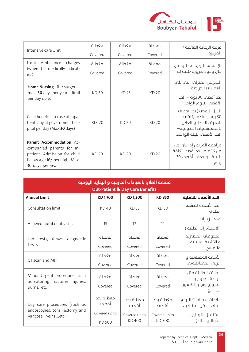

| Intensive care Unit                                                                                                                       | ölbşu<br>Covered | وغطاة<br>Covered | ölbşo<br>Covered | غرفة الرعاية الفائقة /<br>المركزة                                                                                             |
|-------------------------------------------------------------------------------------------------------------------------------------------|------------------|------------------|------------------|-------------------------------------------------------------------------------------------------------------------------------|
| Ambulance<br>charges<br>Local<br>(when it is medically indicat-<br>ed)                                                                    | وغطاة<br>Covered | وغطاة<br>Covered | älbṡo<br>Covered | الإسعاف البري المحلب في<br>حال وجود ضرورة طبية له                                                                             |
| Home Nursing after surgeries<br>$max.$ 30 days per year $-$ limit<br>per day up to                                                        | <b>KD30</b>      | KD 25            | <b>KD 20</b>     | التمريض المنزلي الذي يلي<br>العمليات الجراحية -<br>بحد أقصص 30 يوم – الحد<br>الأقصص لليوم الواحد                              |
| Cash benefits in case of inpa-<br>tient stay at government hos-<br>pital per day (Max.30 days)                                            | KD 20            | <b>KD 20</b>     | <b>KD 20</b>     | البدل النقدي ( بحد أقصص<br>30 يوم) عندما يتلقم<br>المريض الداخلي العلاج<br>بالمستشفيات الحكومية–<br>الحد الأقصب لليلة الواحده |
| Parent Accommodation Ac-<br>companied parents for In-<br>patient- Admission for child<br>below Age 16/-per night Max.<br>30 days per year | <b>KD 20</b>     | <b>KD 20</b>     | <b>KD 20</b>     | مرافقة المريض إذا كان أقل<br>من 16 عاما بحد أقصص تكلفة<br>الليلة الواحدة – أقصب 30<br>يوم                                     |

| منفعة العلاج بالعيادات الخارجية و الرعاية اليومية<br><b>Out-Patient &amp; Day Care Benefits</b> |                                |                         |                               |                                                 |  |
|-------------------------------------------------------------------------------------------------|--------------------------------|-------------------------|-------------------------------|-------------------------------------------------|--|
| <b>Annual Limit</b>                                                                             | KD 1,700                       | KD 1,200                | <b>KD 850</b>                 | الحد الأقصص للتغطية                             |  |
| Consultation limit                                                                              | <b>KD40</b>                    | <b>KD35</b>             | <b>KD30</b>                   | الحد الأقصص للكشف<br>الطيب                      |  |
| Allowed number of visits                                                                        | 15                             | 12                      | 12                            | عدد الزيارات                                    |  |
|                                                                                                 |                                |                         |                               | (الاستشارات الطبية )                            |  |
| Lab. tests, X-rays, diagnostic                                                                  | وغطاة                          | وغطاة                   | وغطاة                         | الفحوصات المختبرية                              |  |
| tests                                                                                           | Covered                        | Covered                 | Covered                       | و الأشعة السينية<br>والمسح                      |  |
| CT scan and MRI                                                                                 | وغطاة                          | مغطاة                   | ölbşo                         | الأشعة المقطعية و                               |  |
|                                                                                                 | Covered                        | Covered                 | Covered                       | الرنين المغناطيسي                               |  |
| Minor Urgent procedures such<br>as suturing, fractures, injuries,                               | وغطاة                          | ölbşo                   | وغطاة                         | الحالات الطارئة مثل<br>خياطة الجروح و           |  |
| burns, etc.                                                                                     | Covered                        | Covered                 | Covered                       | الحروق وتجبير الكسور<br>الخ                     |  |
| Day care procedures (such us                                                                    | مغطاة بحد<br>أقصص              | مغطاة بحد<br>أقصب       | مغطاة بحد<br>أقصب             | علاجات و جراحات اليوم<br>الواحد ( مثل المناظير، |  |
| endoscopies, tonsillectomy and<br>Varicose veinsetc.)                                           | Covered up to<br><b>KD 500</b> | Covered up to<br>KD 400 | Covered up to<br><b>KD300</b> | استئصال اللوزتين ،<br>الدوالپ الخ)              |  |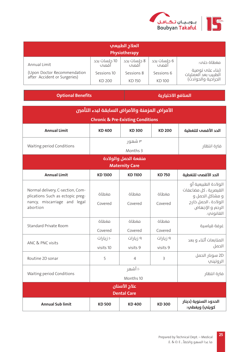

| العلاج الطبيعي<br>Physiotherapy                             |                       |                     |                          |                                                              |
|-------------------------------------------------------------|-----------------------|---------------------|--------------------------|--------------------------------------------------------------|
| Annual Limit                                                | 10 حِلسات بحد<br>أقصب | 8 جلسات بحد<br>أقصص | 6 جلسات بحد<br>ِ<br>أقصص | مغطاة حتى:                                                   |
| (Upon Doctor Recommendation<br>after Accident or Surgeries) | Sessions 10           | Sessions 8          | Sessions 6               | (بناء علم توصية<br>الطبيب بعد آلعمليات<br>الجراحية والحوادث) |
|                                                             | KD 200                | KD 150              | KD 100                   |                                                              |

| لمنافع الاختيارية |  |  |
|-------------------|--|--|
|                   |  |  |

**المنافع االخـتيارية Benefits Optional**

| الأمراض المزمنة والأمراض السابقة لبدء التأمين                                                                    |                                    |                                              |                      |                                                                                                                        |  |  |
|------------------------------------------------------------------------------------------------------------------|------------------------------------|----------------------------------------------|----------------------|------------------------------------------------------------------------------------------------------------------------|--|--|
|                                                                                                                  |                                    | <b>Chronic &amp; Pre-Existing Conditions</b> |                      |                                                                                                                        |  |  |
| <b>Annual Limit</b>                                                                                              | <b>KD400</b>                       | <b>KD300</b>                                 | <b>KD 200</b>        | الحد الأقصص للتغطية                                                                                                    |  |  |
| Waiting period Conditions                                                                                        |                                    | ۳ شهور<br>Months 3                           |                      |                                                                                                                        |  |  |
|                                                                                                                  |                                    | منفعة الحمل والولادة                         |                      |                                                                                                                        |  |  |
|                                                                                                                  |                                    | <b>Maternity Care</b>                        |                      |                                                                                                                        |  |  |
| <b>Annual Limit</b>                                                                                              | <b>KD1300</b>                      | <b>KD1100</b>                                | <b>KD750</b>         | الحد الأقصب للتغطية                                                                                                    |  |  |
| Normal delivery, C-section, Com-<br>plications Such as ectopic preg-<br>nancy, miscarriage and legal<br>abortion | وغطاة<br>Covered                   | وغطاة<br>Covered                             | وغطاة<br>Covered     | الولادة الطبيعية أو<br>القيصرية ، كل مضاعفات<br>و مشاكل الحمل و<br>الولادة ، الحمل خارج<br>الرحم والإجهاض<br>القانوني. |  |  |
| <b>Standard Private Room</b>                                                                                     | مغطاة<br>Covered                   | ölbşo<br>Covered                             | مغطاة<br>Covered     | غرفة قياسية                                                                                                            |  |  |
| ANC & PNC visits                                                                                                 | ۱۰ زیارات<br>visits 10             | ۹ زیارات<br>visits 9                         | ۹ زیارات<br>visits 9 | المتابعات أثناء و بعد<br>الحمل                                                                                         |  |  |
| Routine 2D sonar                                                                                                 | 5                                  | $\overline{4}$                               | 3                    | 2D سونار الحمل<br>الروتيني                                                                                             |  |  |
| Waiting period Conditions                                                                                        |                                    | ۱۰ أشهر                                      |                      | فترة انتظار                                                                                                            |  |  |
|                                                                                                                  |                                    | Months 10                                    |                      |                                                                                                                        |  |  |
|                                                                                                                  | علاج الأسنان<br><b>Dental Care</b> |                                              |                      |                                                                                                                        |  |  |
| <b>Annual Sub limit</b>                                                                                          | <b>KD 500</b>                      | <b>KD400</b>                                 | <b>KD300</b>         | الحدود السنوية (دينار<br>كويتي) ويغطي:                                                                                 |  |  |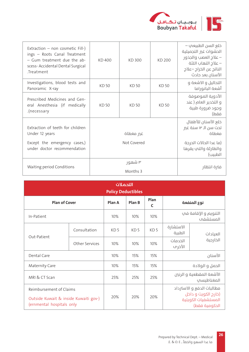

| Extraction – non cosmetic Fill-)<br>ings - Roots Canal Treatment<br>- Gum treatment due the ab-<br>scess- Accidental Dental Surgical<br>.Treatment | KD 400             | <b>KD300</b> | <b>KD 200</b> | خلع السن الطبيعي –<br>الحشوات غير التجميلية<br>– علاج العصب والجذور<br>– علاج التهاب اللثة<br>الناتج عن الخراج –علاج<br>الأسنان بعد حادث |
|----------------------------------------------------------------------------------------------------------------------------------------------------|--------------------|--------------|---------------|------------------------------------------------------------------------------------------------------------------------------------------|
| Investigations, blood tests and<br>Panoramic X-ray                                                                                                 | KD 50              | KD 50        | KD 50         | التحاليل و الاشعة و<br>أشعة البانوراما                                                                                                   |
| Prescribed Medicines and Gen-<br>eral Anesthesia (if medically<br>.(necessary                                                                      | KD 50              | KD 50        | KD 50         | الأدوية الموصوفة<br>و التخدير العام ( عند<br>وجود ضرورة طبية<br>فقط)                                                                     |
| Extraction of teeth for children<br>Under 12 years                                                                                                 | غي مغطاة           |              |               | خلع الأسنان للأطفال<br>تحت سن الـ ۱۲ سنة غير<br>وغطاة                                                                                    |
| Except the emergency cases,)<br>under doctor recommendation                                                                                        | Not Covered        |              |               | (ما عدا الحالات الحرجة<br>والطارئة والتب يقرها<br>الطبيب)                                                                                |
| Waiting period Conditions                                                                                                                          | ۳ شهور<br>Months 3 |              |               | فترة انتظار                                                                                                                              |

| التحملات<br><b>Policy Deductibles</b>                              |                |                 |                 |                 |                                        |                                                  |
|--------------------------------------------------------------------|----------------|-----------------|-----------------|-----------------|----------------------------------------|--------------------------------------------------|
| <b>Plan of Cover</b>                                               |                | Plan A          | Plan B          | Plan<br>C       |                                        | نوع المنفعة                                      |
| In-Patient                                                         |                | 10%             | 10%             | 10%             | التنويم والإقامة فپ<br>المستشفما       |                                                  |
| Out-Patient                                                        | Consultation   | KD <sub>5</sub> | KD <sub>5</sub> | KD <sub>5</sub> | الاستشارة<br>الطبية                    | العيادات                                         |
|                                                                    | Other Services | 10%             | 10%             | 10%             | الخدمات<br>الأخر م                     | الخارجية                                         |
| Dental Care                                                        |                | 10%             | 15%             | 15%             | الأسنان                                |                                                  |
| <b>Maternity Care</b>                                              |                | 10%             | 15%             | 15%             | الحمل و الولادة                        |                                                  |
| MRI & CT Scan                                                      |                | 25%             | 25%             | 25%             | الأشعة المقطعية و الرنين<br>المغناطيسي |                                                  |
| Reimbursement of Claims                                            |                |                 |                 |                 |                                        | مطالبات الدفع و الاسترداد<br>(خارج الكويت و داخل |
| Outside Kuwait & inside Kuwaiti gov-)<br>(ernmental hospitals only |                | 20%             | 20%             | 20%             |                                        | المستشفيات الكويتية<br>الحكومية فقط)             |